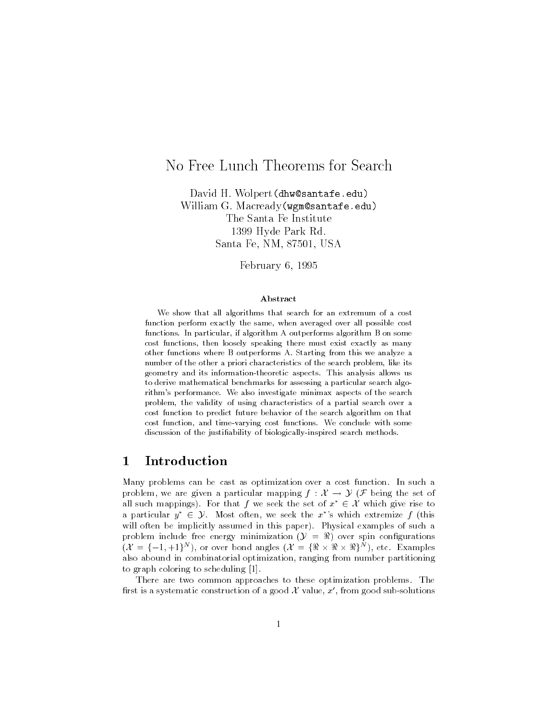# No Free Lunch Theorems for Search

banta H wolper (<del>em</del> so em can o ven y william G Macready (wgmobantafe-of-day) The Santa Fe Institute - Hyde Park Rd Santa Fe, NM, 87501, USA

February 6, 1995

### Abstract

We show that all algorithms that search for an extremum of a cost function perform exactly the same, when averaged over all possible cost functions. In particular, if algorithm A outperforms algorithm B on some cost functions, then loosely speaking there must exist exactly as many other functions where B outperforms A Starting from this we analyze a number of the other a priori characteristics of the search problem, like its geometry and its information-theoretic aspects. This analysis and we all to derive mathematical benchmarks for assessing a particular search algorithm's performance. We also investigate minimax aspects of the search problem, the validity of using characteristics of a partial search over a cost function to predict future behavior of the search algorithm on that cost function and time-varying cost functions We conclude with some discussion of the justiability of biologically-inspired search methods

#### $\mathbf{1}$ Introduction

Many problems can be cast as optimization over a cost function In such a problem, we are given a particular mapping  $f: \mathcal{X} \to \mathcal{Y}$  (*F* being the set of Many problems can be cast as optimization over a cost function. In such a problem, we are given a particular mapping  $f : \mathcal{X} \to \mathcal{Y}$  ( $\mathcal{F}$  being the set of all such mappings). For that  $f$  we seek the set of  $x^* \in$ problem, we are given a particular mapping  $f : \mathcal{X} \to \mathcal{Y}$  ( $\mathcal{F}$  being the set of all such mappings). For that  $f$  we seek the set of  $x^* \in \mathcal{X}$  which give rise to a particular  $y^* \in \mathcal{Y}$ . Most often, we seek will often be implicitly assumed in this paper). Physical examples of such a will often be implicitly assumed in this paper). Physical examples of such a problem include free energy minimization  $(\mathcal{Y} = \mathcal{R})$  over spin configurations  $(X = \{-1,+1\}^N)$ , or over bond angles  $(X = \{\Re \times \Re \times \Re\}^N)$ , etc. Examples also abound in combinatorial optimization, ranging from number partitioning to graph coloring to scheduling

There are two common approaches to these optimization problems. The first is a systematic construction of a good  $\mathcal X$  value,  $x'$ , from good sub-solutions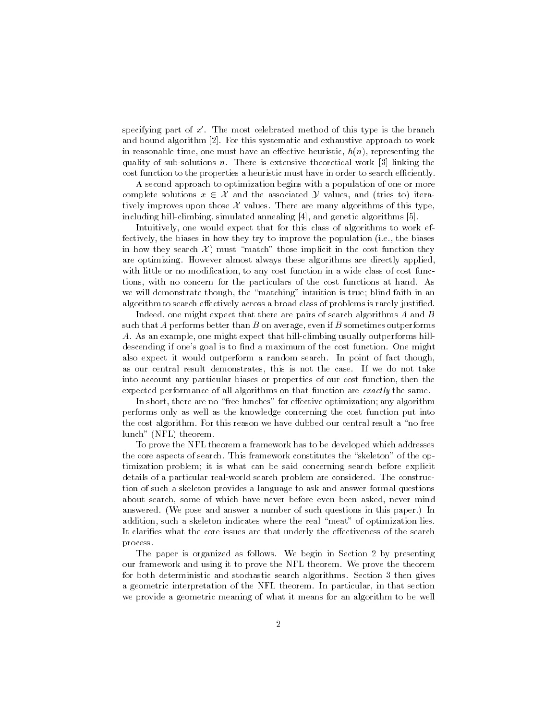specifying part of  $x'$ . The most celebrated method of this type is the branch and bound algorithm place that systematic and exhaustive approach to work in reasonable time, one must have an effective heuristic,  $h(n)$ , representing the quality is the statistical in There's is extensive theoretical work of the statistical work  $\mathcal{A}$  the statistical work of the statistical work of the statistical work of the statistical work of the statistical work of t cost function to the properties a heuristic must have in order to search efficiently.

A second approach to optimization begins with a population of one or more cost function to the properties a heuristic must have in order to search efficiently.<br>A second approach to optimization begins with a population of one or more<br>complete solutions  $x \in \mathcal{X}$  and the associated  $\mathcal{Y}$  va tively improves upon those  $\mathcal X$  values. There are many algorithms of this type, including in climbing simulated annealing populated and algorithms populated and

Intuitively, one would expect that for this class of algorithms to work effectively, the biases in how they try to improve the population (i.e., the biases in how they search  $\mathcal{X}$  must "match" those implicit in the cost function they are optimizing. However almost always these algorithms are directly applied, with little or no modification, to any cost function in a wide class of cost functions, with no concern for the particulars of the cost functions at hand. As we will demonstrate though, the "matching" intuition is true; blind faith in an algorithm to search effectively across a broad class of problems is rarely justified.

Indeed, one might expect that there are pairs of search algorithms  $A$  and  $B$ such that A performs better than B on average, even if B sometimes outperforms A. As an example, one might expect that hill-climbing usually outperforms hilldescending if one's goal is to find a maximum of the cost function. One might also expect it would outperform a random search. In point of fact though, as our central result demonstrates this is not the case If we do not take into account any particular biases or properties of our cost function, then the expected performance of all algorithms on that function are exactly the same.

In short, there are no "free lunches" for effective optimization; any algorithm performs only as well as the knowledge concerning the cost function put into the cost algorithm. For this reason we have dubbed our central result a "no free lunch" (NFL) theorem.

To prove the NFL theorem a framework has to be developed which addresses the core aspects of search. This framework constitutes the "skeleton" of the optimization problem; it is what can be said concerning search before explicit details of a particular real-world search problem are considered. The construction of such a skeleton provides a language to ask and answer formal questions about search, some of which have never before even been asked, never mind answered. (We pose and answer a number of such questions in this paper.) In addition, such a skeleton indicates where the real "meat" of optimization lies. It clarifies what the core issues are that underly the effectiveness of the search process

The paper is organized as follows. We begin in Section 2 by presenting our framework and using it to prove the NFL theorem We prove the theorem for both deterministic and stochastic search algorithms. Section 3 then gives a geometric interpretation of the NFL theorem. In particular, in that section we provide a geometric meaning of what it means for an algorithm to be well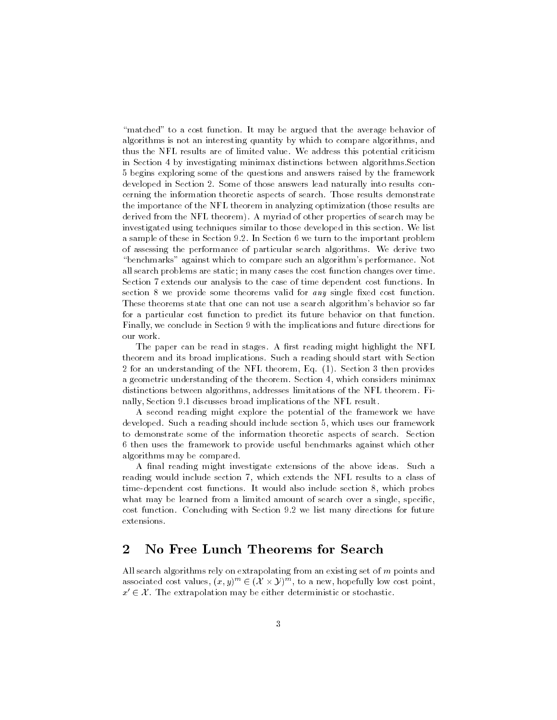"matched" to a cost function. It may be argued that the average behavior of algorithms is not an interesting quantity by which to compare algorithms, and thus the NFL results are of limited value We address this potential criticism in Section 4 by investigating minimax distinctions between algorithms. Section begins exploring some of the questions and answers raised by the framework developed in Section 2. Some of those answers lead naturally into results concerning the information theoretic aspects of search Those results demonstrate the importance of the NFL theorem in analyzing optimization (those results are derived from the NFL theorem). A myriad of other properties of search may be investigated using techniques similar to those developed in this section We list a sample of these in Section 9.2. In Section 6 we turn to the important problem of assessing the performance of particular search algorithms We derive two "benchmarks" against which to compare such an algorithm's performance. Not all search problems are static in many cases the cost function changes over time Section 7 extends our analysis to the case of time dependent cost functions. In section 8 we provide some theorems valid for  $any$  single fixed cost function. These theorems state that one can not use a search algorithm's behavior so far for a particular cost function to predict its future behavior on that function Finally, we conclude in Section 9 with the implications and future directions for our work

The paper can be read in stages. A first reading might highlight the NFL theorem and its broad implications Such a reading should start with Section  $2$  for an understanding of the NFL theorem, Eq.  $(1)$ . Section  $3$  then provides a geometric understanding of the theorem. Section 4, which considers minimax distinctions between algorithms, addresses limitations of the NFL theorem. Finally, Section 9.1 discusses broad implications of the NFL result.

A second reading might explore the potential of the framework we have developed. Such a reading should include section 5, which uses our framework to demonstrate some of the information theoretic aspects of search. Section 6 then uses the framework to provide useful benchmarks against which other algorithms may be compared

A final reading might investigate extensions of the above ideas. Such a reading would include section 7, which extends the NFL results to a class of time-dependent cost functions. It would also include section 8, which probes what may be learned from a limited amount of search over a single, specific. cost function. Concluding with Section 9.2 we list many directions for future extensions

### $\overline{2}$ No Free Lunch Theorems for Search

All search algorithms rely on extrapolating from an existing set of m points and associated cost values,  $(x, y)^m \in (\mathcal{X} \times \mathcal{Y})^m$ , to a new, hopefully low cost point, apolating from<br> $(X \times Y)^m$ , to a All search algorithms rely on extrapolating from an existing set of m po<br>associated cost values,  $(x, y)^m \in (\mathcal{X} \times \mathcal{Y})^m$ , to a new, hopefully low cos<br> $x' \in \mathcal{X}$ . The extrapolation may be either deterministic or stocha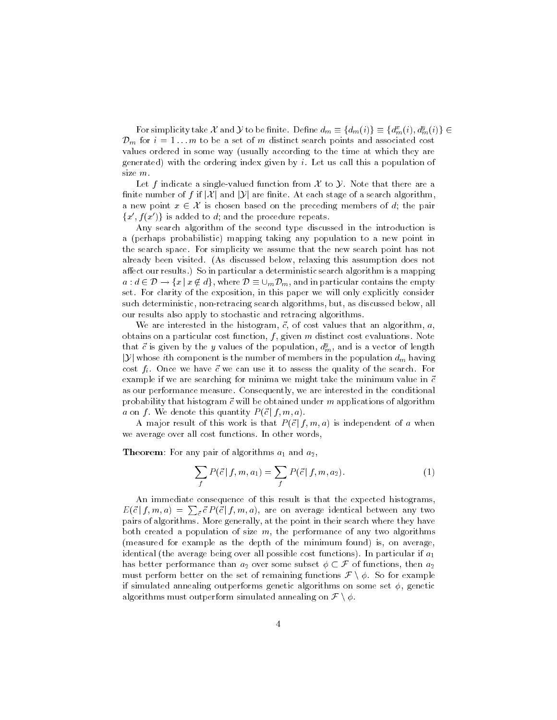For simplicity take X and Y to be finite. Define  $d_m \equiv \{d_m(i)\}\equiv\{d_m^x(i), d_m^y(i)\}\in$  $\mathcal{D}_m$  for  $i = 1...m$  to be a set of m distinct search points and associated cost values ordered in some way (usually according to the time at which they are generated) with the ordering index given by  $i$ . Let us call this a population of

Let f indicate a single-valued function from  $\mathcal X$  to  $\mathcal Y$ . Note that there are a size m.<br>Let f indicate a single-valued function from  $\mathcal X$  to  $\mathcal Y$ . Note that there are a<br>finite number of f if  $|\mathcal X|$  and  $|\mathcal Y|$  are finite. At each stage of a search algorithm, finite number of f if  $|\mathcal{X}|$  and  $|\mathcal{Y}|$  are finite. At each stage of a search algorithm,<br>a new point  $x \in \mathcal{X}$  is chosen based on the preceding members of d; the pair  ${x', f(x')}$  is added to d; and the procedure repeats.

Any search algorithm of the second type discussed in the introduction is a (perhaps probabilistic) mapping taking any population to a new point in the search space For simplicity we assume that the new search point has not already been visited. (As discussed below, relaxing this assumption does not affect our results.) So in particular a deterministic search algorithm is a mapping  $a : d \in \mathcal{D} \longrightarrow \{x \mid x \notin d\},\,$  where  $\mathcal{D} \equiv \cup_m \mathcal{D}_m$ , and in particular contains the empty set. For clarity of the exposition, in this paper we will only explicitly consider such deterministic, non-retracing search algorithms, but, as discussed below, all our results also apply to stochastic and retracing algorithms

we are interested in the matrix  $\pi$  and  $\pi$  is that we also that an algorithm and  $\pi$ obtains on a particular cost function f given m distinct cost evaluations Note that c is given by the y values of the population,  $a_m^{\prime}$ , and is a vector of length % obtains on a<br>that  $\vec{c}$  is give  $|\mathcal{Y}|$  whose *i*th component is the number of members in the population  $d_m$  having cost fi Once we can use it to assess the search Force we can use it to assess the search Force we can use it to example if we are searching for minima we might take the minimum value in -c as our performance measure. Consequently, we are interested in the conditional probability that histogram -  $\mathbf{M}$  and applications of algorithmications of algorithmic m applications of algorithmic must be obtained under models. The contractions of algorithmic must be obtained under models are desc a on f. We denote this quantity  $P(\vec{c} | f, m, a)$ .

A major result of this work is that  $P(\vec{c} \mid f, m, a)$  is independent of a when we average over all cost functions. In other words,

Theorem- For any pair of algorithms a and a

$$
\sum_{f} P(\vec{c} \mid f, m, a_1) = \sum_{f} P(\vec{c} \mid f, m, a_2). \tag{1}
$$

An immediate consequence of this result is that the expected histograms  $E(\vec{c} | f, m, a) = \sum_{\vec{c}} \vec{c} P(\vec{c} | f, m, a)$ , are on average identical between any two pairs of algorithms More generally at the point in their search where they have both created a population of size  $m$ , the performance of any two algorithms (measured for example as the depth of the minimum found) is, on average, identical (the average being over all possible cost functions). In particular if  $a_1$ (measured for example as the depth of the minimum found) is, on average,<br>identical (the average being over all possible cost functions). In particular if  $a_1$ <br>has better performance than  $a_2$  over some subset  $\phi \subset \mathcal{F$ identical (the average being over all possible cost functions). In particular if  $a_1$  has better performance than  $a_2$  over some subset  $\phi \subset \mathcal{F}$  of functions, then  $a_2$  must perform better on the set of remaining f if simulated annealing outperforms genetic algorithms on some set  $\phi$ , genetic must perform better on the set of remaining functions  $\mathcal{F} \setminus \phi$ . So for example<br>if simulated annealing outperforms genetic algorithms on some set  $\phi$ , genetic<br>algorithms must outperform simulated annealing on  $\mathcal{F}$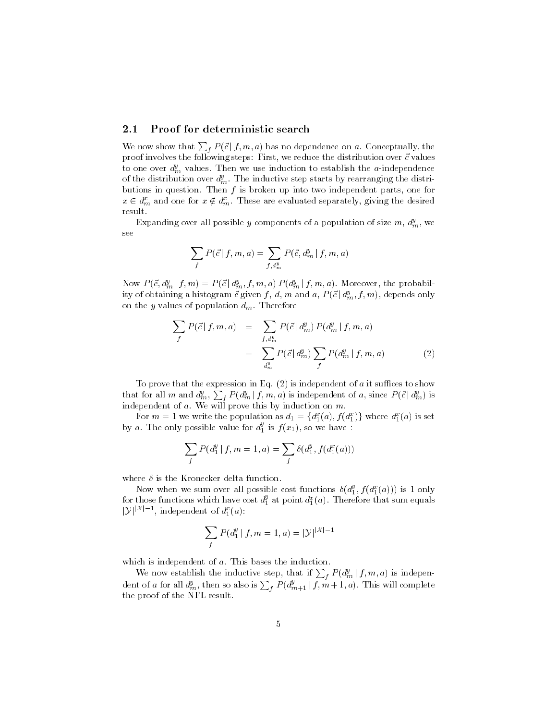#### $2.1$ Proof for deterministic search

We now show that  $\sum_{f} P(\vec{c} | f, m, a)$  has no dependence on a. Conceptually, the provision in the following steps-client, we reduce the distribution over a value to to one over  $d_m^y$  values. Then we use induction to establish the *a*-independence of the distribution over  $d_m^y$ . The inductive step starts by rearranging the distributions in question. Then  $f$  is broken up into two independent parts, one for  $x \in d_m^x$  and one for  $x \notin d_m^x$  . These are evaluated separately, giving the desired result

Expanding over all possible y components of a population of size  $m$ ,  $d_m^y$ , we  $\mathbf{S}^{\mathbf{C}}$ 

$$
\sum_{f} P(\vec{c} | f, m, a) = \sum_{f, d_m^y} P(\vec{c}, d_m^y | f, m, a)
$$

Now  $P(\vec{c}, d_m^y | f, m) = P(\vec{c} | d_m^y, f, m, a) P(d_m^y | f, m, a)$ . Moreover, the probability of obtaining a histogram  $\vec{c}$  given  $f$  ,  $d$  ,  $m$  and  $a$  ,  $P(\vec{c}\,|\,d^y_m, f, m)$  , depends only on the y values of population  $d_m$ . Therefore

$$
\sum_{f} P(\vec{c} | f, m, a) = \sum_{f, d_m^y} P(\vec{c} | d_m^y) P(d_m^y | f, m, a)
$$

$$
= \sum_{d_m^y} P(\vec{c} | d_m^y) \sum_{f} P(d_m^y | f, m, a)
$$
(2)

To prove that the expression in Eq.  $(2)$  is independent of a it suffices to show that for all m and  $d_m^y$ ,  $\sum_f P(d_m^y | f, m, a)$  is independent of a, since  $P(\vec{c} | d_m^y)$  is independent of  $a$ . We will prove this by induction on  $m$ .

For  $m = 1$  we write the population as  $d_1 = \{d_1^x(a), f(d_1^x)\}\$  where  $d_1^x(a)$  is set by a . The only possible value for  $d_1^s$  is  $f(x_1)$ , so we have :

$$
\sum_{f} P(d_1^y | f, m = 1, a) = \sum_{f} \delta(d_1^y, f(d_1^x(a)))
$$

where  $\delta$  is the Kronecker delta function.

Now when we sum over all possible cost functions  $\mathfrak{o}(a_1^s, f(a_1^s(a)))$  is 1 only  $\overline{\phantom{a}}$ Now when we sum over all possible cost functions  $\delta(d_1^y, f(d_1^x(a)))$  is 1 only<br>for those functions which have cost  $d_1^y$  at point  $d_1^x(a)$ . Therefore that sum equals<br>[20] $|X|$ -1 independent of  $d_1^x(a)$ .  $\cdot$ , independent of  $a_1^*(a)$ : 

it of 
$$
d_1^x(a)
$$
:  
\n
$$
\sum_f P(d_1^y | f, m = 1, a) = |\mathcal{Y}|^{|\mathcal{X}|-1}
$$

which is independent of  $a$ . This bases the induction.

We now establish the inductive step, that if  $\sum_{f} P(d_m^y | f, m, a)$  is independent of a for all  $d_m^y$ , then so also is  $\sum_f P(d_{m+1}^y \mid f, m+1, a)$ . This will complete the proof of the NFL result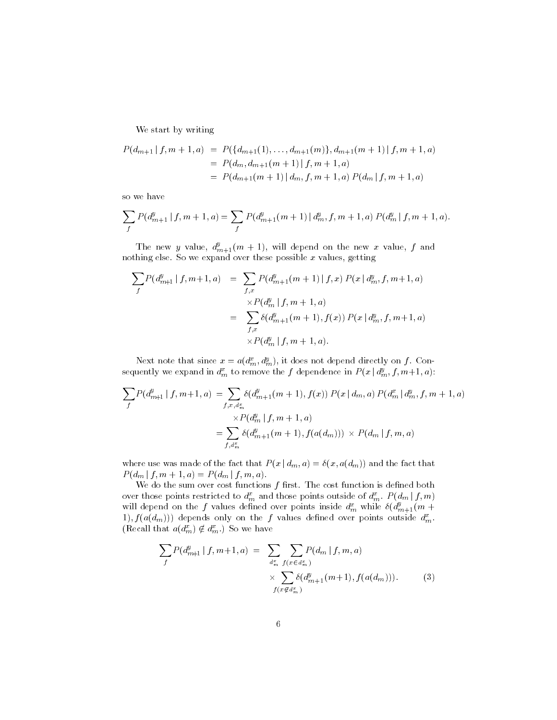We start by writing

$$
P(d_{m+1} | f, m+1, a) = P({d_{m+1}(1),..., d_{m+1}(m)}, d_{m+1}(m+1) | f, m+1, a)
$$
  
=  $P(d_m, d_{m+1}(m+1) | f, m+1, a)$   
=  $P(d_{m+1}(m+1) | d_m, f, m+1, a) P(d_m | f, m+1, a)$ 

so we have

$$
\sum_{f} P(d_{m+1}^y \mid f, m+1, a) = \sum_{f} P(d_{m+1}^y(m+1) \mid d_m^y, f, m+1, a) P(d_m^y \mid f, m+1, a).
$$

The new y value,  $d_{m+1}^s(m+1)$ , will depend on the new x value, f and nothing else. So we expand over these possible  $x$  values, getting

$$
\sum_{f} P(d_{m+1}^{y} | f, m+1, a) = \sum_{f, x} P(d_{m+1}^{y} (m+1) | f, x) P(x | d_{m}^{y}, f, m+1, a)
$$
  

$$
\times P(d_{m}^{y} | f, m+1, a)
$$
  

$$
= \sum_{f, x} \delta(d_{m+1}^{y} (m+1), f(x)) P(x | d_{m}^{y}, f, m+1, a)
$$
  

$$
\times P(d_{m}^{y} | f, m+1, a).
$$

Next note that since  $x = a(d_m^x, d_m^y)$ , it does not depend directly on f. Consequently we expand in  $d_m^x$  to remove the f dependence in  $P(x | d_m^y, f, m+1, a)$ :

$$
\sum_{f} P(d_{m+1}^{y} | f, m+1, a) = \sum_{f, x, d_{m}^{x}} \delta(d_{m+1}^{y} (m+1), f(x)) P(x | d_{m}, a) P(d_{m}^{x} | d_{m}^{y}, f, m+1, a)
$$
  

$$
\times P(d_{m}^{y} | f, m+1, a)
$$
  

$$
= \sum_{f, d_{m}^{x}} \delta(d_{m+1}^{y} (m+1), f(a(d_{m}))) \times P(d_{m} | f, m, a)
$$

where use was made of the fact that  $P(x | d_m, a) = \delta(x, a(d_m))$  and the fact that  $P(d_m | f, m + 1, a) = P(d_m | f, m, a).$ 

We do the sum over cost functions  $f$  first. The cost function is defined both over those points restricted to  $d_m^x$  and those points outside of  $d_m^x$ .  $P(d_m | f, m)$ will depend on the f values defined over points inside  $d_m^*$  while  $\delta(d_{m+1}^*(m+1))$ 1),  $f(a(d_m))$  depends only on the f values defined over points outside  $d_m^x$ . (Recall that  $a(d_m^x) \notin d_m^x$ .) So we have

$$
\sum_{f} P(d_{m+1}^{y} | f, m+1, a) = \sum_{\substack{d_{m}^{x} \\ \dots \\ d_{m}^{x}}} \sum_{f(x \in d_{m}^{x})} P(d_{m} | f, m, a)
$$
\n
$$
\times \sum_{f(x \notin d_{m}^{x})} \delta(d_{m+1}^{y}(m+1), f(a(d_{m}))). \qquad (3)
$$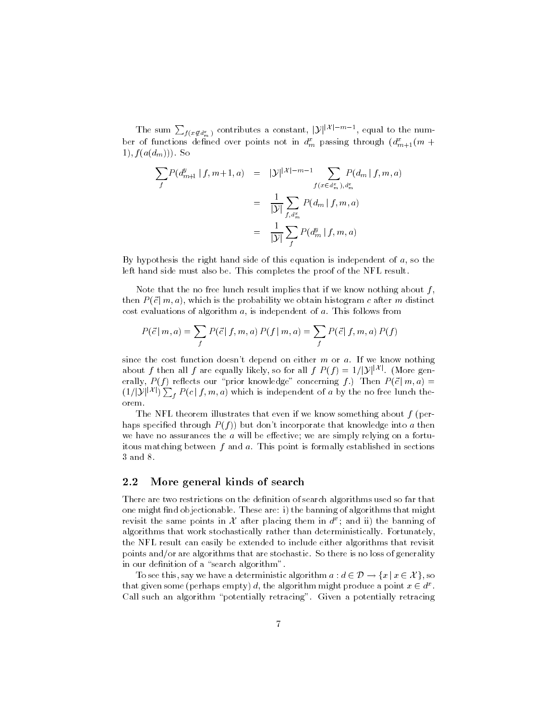The sum  $\sum_{f(x \notin d_m^x)}$  contributes a constant,  $|y|^{|x|-m-1}$ , equal to the number of functions denned over points not in  $a_m$  passing through  $(a_{m+1}^+(m +$ 1),  $f(a(d_m))$ . So

$$
\sum_{f} P(d_{m+1}^{y} | f, m+1, a) = |\mathcal{Y}|^{|\mathcal{X}| - m - 1} \sum_{f(x \in d_{m}^{x}), d_{m}^{x}} P(d_{m} | f, m, a)
$$
  

$$
= \frac{1}{|\mathcal{Y}|} \sum_{f, d_{m}^{x}} P(d_{m} | f, m, a)
$$
  

$$
= \frac{1}{|\mathcal{Y}|} \sum_{f} P(d_{m}^{y} | f, m, a)
$$

By hypothesis the right hand side of this equation is independent of  $a$ , so the left hand side must also be. This completes the proof of the NFL result.

for the contract of the contract of the contract of the contract of the contract of the contract of the contract of the contract of the contract of the contract of the contract of the contract of the contract of the contra

Note that the no free lunch result implies that if we know nothing about  $f$ , then  $P(\vec{c} \mid m, a)$ , which is the probability we obtain histogram c after m distinct cost evaluations of algorithm  $a$ , is independent of  $a$ . This follows from

$$
P(\vec{c} \mid m, a) = \sum_{f} P(\vec{c} \mid f, m, a) P(f \mid m, a) = \sum_{f} P(\vec{c} \mid f, m, a) P(f)
$$

since the cost function doesn't depend on either  $m$  or  $a$ . If we know nothing since the cost function doesn't depend on either m or a. If we know nothing<br>about f then all f are equally likely, so for all f  $P(f) = 1/|y|^{|\mathcal{X}|}$ . (More generally,  $P(f)$  reflects our "prior knowledge" concerning f.) Then  $P(\vec{c}|m, a) =$ about f then all f a<br>erally,  $P(f)$  reflects<br> $(1/|\mathcal{Y}||\mathcal{X}|) \sum P(c|f)$  $f(1/|\mathcal{Y}|^{|\mathcal{X}|})\sum_{f} P(c|f, m, a)$  which is independent of a by the no free lunch theorem

The NFL theorem illustrates that even if we know something about  $f$  (perhaps specified through  $P(f)$  but don't incorporate that knowledge into a then we have no assurances the  $a$  will be effective; we are simply relying on a fortuitous matching between  $f$  and  $a$ . This point is formally established in sections 3 and 8.

#### $2.2$ More general kinds of search

There are two restrictions on the definition of search algorithms used so far that one might note the banning the banning of algorithms that might might might revisit the same points in X after placing them in  $d^x$ ; and ii) the banning of algorithms that work stochastically rather than deterministically Fortunately the NFL result can easily be extended to include either algorithms that revisit points andor are algorithms that are stochastic So there is no loss of generality in our definition of a "search algorithm". re is no loss of generality $d \in \mathcal{D} \rightarrow \{x \:|\: x \in \mathcal{X}\}, \,\text{so}$ 

To see this, say we have a deterministic algorithma :  $d \in \mathcal{D} \to \{x \mid x \in \mathcal{X}\}\)$ , so that given some (perhaps empty) d, the algorithm might produce a point  $x \in d^x$ . Call such an algorithm "potentially retracing". Given a potentially retracing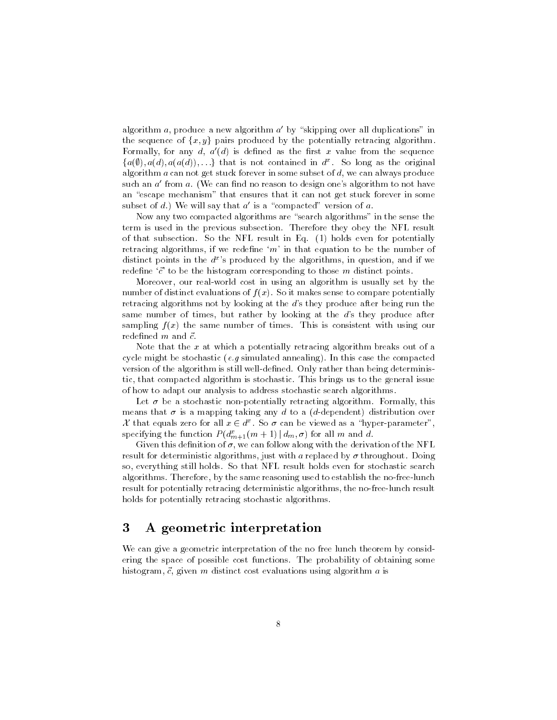algorithm  $a$ , produce a new algorithm  $a'$  by "skipping over all duplications" in the sequence of  $\{x, y\}$  pairs produced by the potentially retracing algorithm. Formally, for any d,  $a'(d)$  is defined as the first x value from the sequence  $\{a(\emptyset), a(d), a(a(d)), \ldots\}$  that is not contained in  $d^x$ . So long as the original algorithm a can not get stuck forever in some subset of  $d$ , we can always produce such an  $a'$  from  $a$ . (We can find no reason to design one's algorithm to not have an "escape mechanism" that ensures that it can not get stuck forever in some subset of d.) We will say that  $a'$  is a "compacted" version of a.

Now any two compacted algorithms are "search algorithms" in the sense the term is used in the previous subsection Therefore they obey the NFL result of that subsection. So the NFL result in Eq.  $(1)$  holds even for potentially retracing algorithms, if we redefine 'm' in that equation to be the number of distinct points in the  $a<sup>2</sup>$  s produced by the algorithms, in question, and if we redene -c to be the histogram corresponding to those m distinct points

Moreover, our real-world cost in using an algorithm is usually set by the number of distinct evaluations of  $f(x)$ . So it makes sense to compare potentially retracing algorithms not by looking at the  $d$ 's they produce after being run the same number of times, but rather by looking at the  $d$ 's they produce after sampling  $f(x)$  the same number of times. This is consistent with using our

Note that the  $x$  at which a potentially retracing algorithm breaks out of a cycle might be stochastic (e.g simulated annealing). In this case the compacted version of the algorithm is still well-defined. Only rather than being deterministic, that compacted algorithm is stochastic. This brings us to the general issue of how to adapt our analysis to address stochastic search algorithms

Let  $\sigma$  be a stochastic non-potentially retracting algorithm. Formally, this means that  $\sigma$  is a mapping taking any d to a (d-dependent) distribution over X that equals zero for all  $x \in d^x$ . So  $\sigma$  can be viewed as a "hyper-parameter", specifying the function  $P(d_{m+1}^x(m+1) \,|\, d_m, \sigma)$  for all m and d.

Given this definition of  $\sigma$ , we can follow along with the derivation of the NFL result for deterministic algorithms, just with a replaced by  $\sigma$  throughout. Doing so, everything still holds. So that NFL result holds even for stochastic search algorithms. Therefore, by the same reasoning used to establish the no-free-lunch result for potentially retracing deterministic algorithms, the no-free-lunch result holds for potentially retracing stochastic algorithms.

### 3 A geometric interpretation

We can give a geometric interpretation of the no free lunch theorem by consid ering the space of possible cost functions The probability of obtaining some histogram -c given m distinct cost evaluations using algorithm a is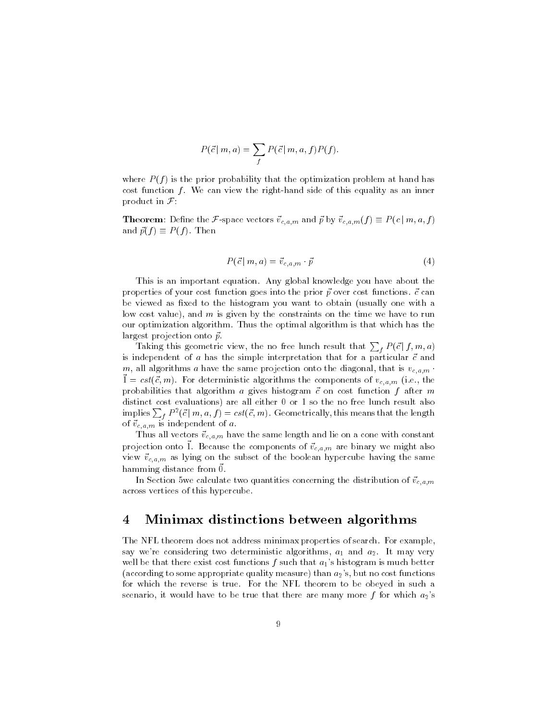$$
P(\vec{c} \mid m, a) = \sum_{f} P(\vec{c} \mid m, a, f) P(f).
$$

where  $P(f)$  is the prior probability that the optimization problem at hand has cost function  $f$ . We can view the right-hand side of this equality as an inner product in  $\mathcal{F}$ :

**Theorem**: Define the F-space vectors  $\vec{v}_{c,a,m}$  and  $\vec{p}$  by  $\vec{v}_{c,a,m}(f) \equiv P(c \mid m, a, f)$ and  $\vec{p}(f) \equiv P(f)$ . Then

$$
P(\vec{c} \mid m, a) = \vec{v}_{c,a,m} \cdot \vec{p} \tag{4}
$$

This is an important equation Any global knowledge you have about the properties of  $\rho$  and  $\rho$ -cost functions  $\rho$ -cost functions  $\rho$ -cannot p-into the prior p-into the prior p-into the prior p-into the p-into the p-into the p-into the p-into the p-into the p-into the p-into the p-into be viewed as fixed to the histogram you want to obtain (usually one with a low cost value), and  $m$  is given by the constraints on the time we have to run our optimization algorithm Thus the optimal algorithm is that which has the largest projection onto p-

Taking this geometric view, the no free lunch result that  $\sum_{f} P(\vec{c} | f, m, a)$ is independent of a has the simple interpretation that for a particular -c and m, all algorithms a have the same projection onto the diagonal, that is  $v_{c,a,m}$ .  $c = \cos(\psi, m)$ . For deterministic algorithms the components of  $v_{c,a,m}$  (i.e., the probabilities that algorithm a gives histogram  $\alpha$  after mass  $\alpha$  after mass  $\alpha$ distinct cost evaluations) are all either 0 or 1 so the no free lunch result also implies  $\sum_{f} P^{2}(\vec{c} \mid m, a, f) = cst(\vec{c}, m)$ . Geometrically, this means that the length of the state of a state of a state of a state of a state of a state of a state of a state of a state of a state

the same lie on a constant same length and lie on a constant with constant constant constants of the same constant projection onto 1. Decause the components or  $v_{c,a,m}$  are binary we might also view - value on the subset of the boolean hypercube having the same home. hamming distance from -

In Section we can calculate two quantities concerning the distribution of  $\Omega$ across vertices of this hypercube

### $\overline{4}$ Minimax distinctions between algorithms

The NFL theorem does not address minimax properties of search. For example, say were considering two deterministic algorithms a and a It may very well be that there exist cost functions f such that  $a_1$ 's histogram is much better (according to some appropriate quality measure) than  $a_2$ 's, but no cost functions for which the reverse is true. For the NFL theorem to be obeyed in such a scenario, it would have to be true that there are many more f for which  $a_2$ 's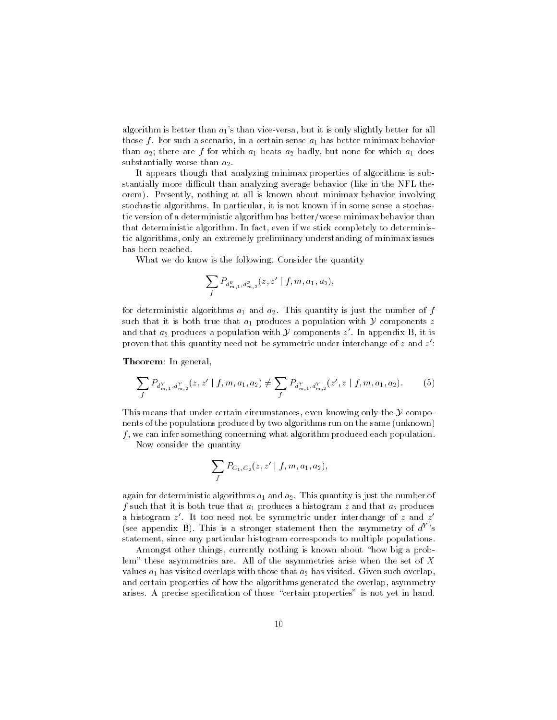algorithm is better than  $a_1$ 's than vice-versa, but it is only slightly better for all those f For such a scenario in a certain sense a has better minimax behavior than a  $\alpha$  that is a form and a badle and for a badly but none for which a doesn't a doesn't which a doesn't substantially worse than  $a_2$ .

It appears though that analyzing minimax properties of algorithms is sub stantially more difficult than analyzing average behavior (like in the NFL theorem). Presently, nothing at all is known about minimax behavior involving stochastic algorithms. In particular, it is not known if in some sense a stochastic version of a deterministic algorithm has better/worse minimax behavior than that deterministic algorithm. In fact, even if we stick completely to deterministic algorithms, only an extremely preliminary understanding of minimax issues has been reached

What we do know is the following. Consider the quantity

$$
\sum_{f} P_{d^{\,y}_{m,1},d^{\,y}_{m,2}}(z,z' \mid f,m,a_1,a_2),
$$

for deterministic algorithms a and a strongerministic algorithms a and a  $T$ such that it is both true that  $a_1$  produces a population with  $\mathcal Y$  components z and that  $a_2$  produces a population with Y components z'. In appendix B, it is proven that this quantity need not be symmetric under interchange of  $z$  and  $z$  :

<u> In general in general in group</u>

$$
\sum_{f} P_{d_{m,1}^Y, d_{m,2}^Y}(z, z' \mid f, m, a_1, a_2) \neq \sum_{f} P_{d_{m,1}^Y, d_{m,2}^Y}(z', z \mid f, m, a_1, a_2). \tag{5}
$$

This means that under certain circumstances, even knowing only the  $Y$  components of the populations produced by two algorithms run on the same (unknown)  $f$ , we can infer something concerning what algorithm produced each population.

Now consider the quantity

$$
\sum_{f} P_{C_1,C_2}(z,z' \mid f,m,a_1,a_2),
$$

again for deterministic algorithms a  $\mathbf{r}_1$  -mass  $\mathbf{r}_2$  . In this quantity is just the number of the number f such that it is both true that it is both true that a produces a histogram z and that a produces a produces a produces a produces a produces a produces a produces a produces a produces a produces a produces a produces a a histogram z It too need not be symmetric under interchange of z and z (see appendix  $\overline{D}$ ). This is a stronger statement then the asymmetry of  $a^+$  s statement, since any particular histogram corresponds to multiple populations.

Amongst other things, currently nothing is known about "how big a problem" these asymmetries are. All of the asymmetries arise when the set of  $X$ values a has visited overlaps with the those that a has visited Given such over the such overlaps of the such over and certain properties of how the algorithms generated the overlap, asymmetry arises. A precise specification of those "certain properties" is not yet in hand.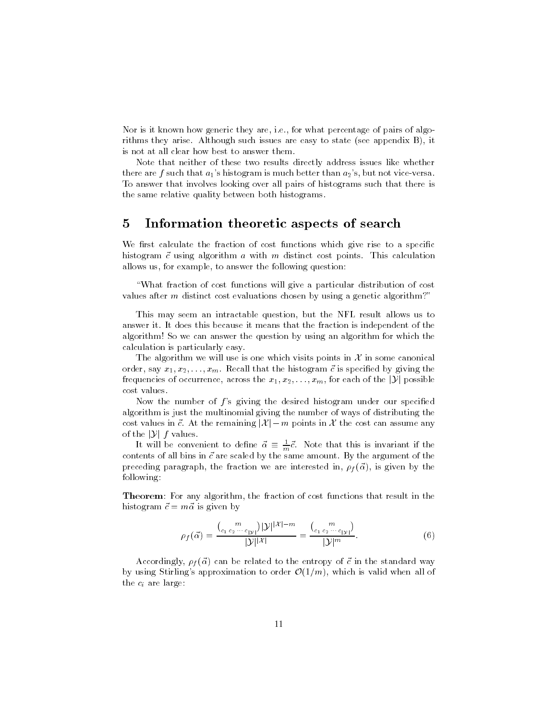Nor is it known how generic they are, i.e., for what percentage of pairs of algorithms they arise. Although such issues are easy to state (see appendix  $B$ ), it is not at all clear how best to answer them

Note that neither of these two results directly address issues like whether there are f such that  $a_1$ 's histogram is much better than  $a_2$ 's, but not vice-versa. To answer that involves looking over all pairs of histograms such that there is the same relative quality between both histograms

## 5 Information theoretic aspects of search

We first calculate the fraction of cost functions which give rise to a specific histogram -c using algorithm a with m distinct cost points This calculation allows us, for example, to answer the following question:

What fraction of cost functions will give a particular distribution of cost values after  $m$  distinct cost evaluations chosen by using a genetic algorithm?"

This may seem an intractable question but the NFL result allows us to answer it It does this because it means that the fraction is independent of the algorithm! So we can answer the question by using an algorithm for which the calculation is particularly easy

The algorithm we will use is one which visits points in  $\mathcal X$  in some canonical order say x x xm Recall that the histogram -c is specied by giving the The algorithm we will use is one which visits points in  $\mathcal X$  in some canonical order, say  $x_1, x_2, \ldots, x_m$ . Recall that the histogram  $\vec c$  is specified by giving the frequencies of occurrence, across the  $x_1, x_2, \ldots, x$ cost values

Now the number of f s giving the desired histogram under our specied algorithm is just the multinomial giving the number of ways of distributing the number of  $f$ 's giving the desired histogram under our specified<br>ast the multinomial giving the number of ways of distributing the<br> $\vec{c}$ . At the remaining  $|\mathcal{X}| - m$  points in  $\mathcal{X}$  the cost can assume any algorithm is just the<br>cost values in  $\vec{c}$ . At the<br>of the  $|\mathcal{Y}|$  f values.

It will be convenient to define  $\vec{\alpha} \equiv \frac{1}{m}\vec{c}$ . Note that this is invariant if the contents of all bins in -c are scaled by the same amount By the argument of the preceding paragraph the fraction we are in figure we are in figure we are in figure we are in figure we are in following:

Theorem- For any algorithm the fraction of cost functions that result in the historic contract the contract of the contract of the contract of the contract of the contract of the contract of the contract of the contract of the contract of the contract of the contract of the contract of the contract  $|\gamma| |\mathcal{X}| = m$ 

$$
\rho_f(\vec{\alpha}) = \frac{\binom{m}{c_1 c_2 \cdots c_{|\mathcal{Y}|}} |\mathcal{Y}|^{|\mathcal{X}| - m}}{|\mathcal{Y}|^{|\mathcal{X}|}} = \frac{\binom{m}{c_1 c_2 \cdots c_{|\mathcal{Y}|}}}{|\mathcal{Y}|^m}.
$$
\n(6)

accordingly f ( ) - in the entropy of - in the standard way the standard way by using Stirling's approximation to order  $\mathcal{O}(1/m)$ , which is valid when all of the  $c_i$  are large: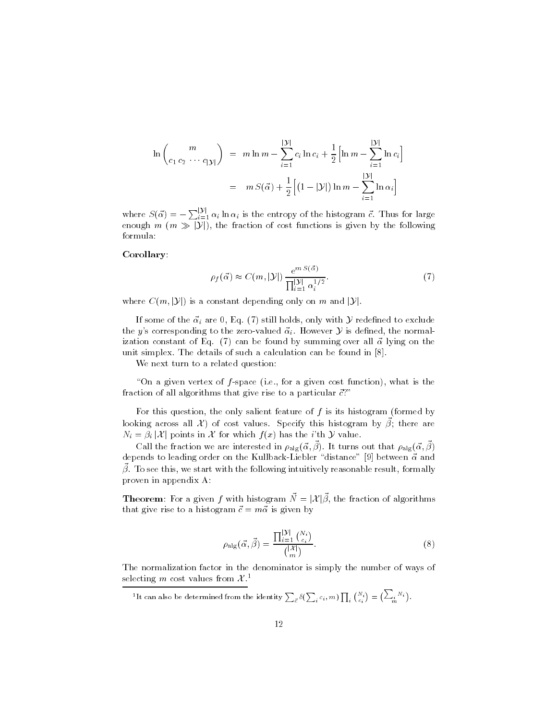$$
\ln \binom{m}{c_1 c_2 \cdots c_{|\mathcal{Y}|}} = m \ln m - \sum_{i=1}^{|\mathcal{Y}|} c_i \ln c_i + \frac{1}{2} \Big[ \ln m - \sum_{i=1}^{|\mathcal{Y}|} \ln c_i \Big]
$$
  
=  $m S(\vec{\alpha}) + \frac{1}{2} \Big[ (1 - |\mathcal{Y}|) \ln m - \sum_{i=1}^{|\mathcal{Y}|} \ln \alpha_i \Big]$ 

where  $S(\vec{\alpha}) = -\sum_{i=1}^{|\mathcal{Y}|} \alpha_i \ln \alpha_i$  is the entropy of the histogram  $\vec{c}$ . Thus for large where  $S(\vec{\alpha}) = -\sum_{i=1}^{|\mathcal{Y}|} \alpha_i \ln \alpha_i$  is the entropy of the histogram  $\vec{c}$ . Thus for large<br>enough  $m \ (m \gg |\mathcal{Y}|)$ , the fraction of cost functions is given by the following formula:

### Corollary-

$$
\rho_f(\vec{\alpha}) \approx C(m, |\mathcal{Y}|) \frac{e^{m S(\vec{\alpha})}}{\prod_{i=1}^{|\mathcal{Y}|} \alpha_i^{1/2}}.
$$
\n(7)

where  $C(m, |\mathcal{Y}|)$  is a constant depending only on m and  $|\mathcal{Y}|$ .

If some of the  $\vec{\alpha}_i$  are 0, Eq. (7) still holds, only with  $\cal Y$  redefined to exclude the y's corresponding to the zero-valued  $\vec{\alpha}_i$ . However  $\mathcal Y$  is defined, the normalization constant of Eq. ()) can be found by summing over all -  $\alpha$  and  $\alpha$ unit simplex The details of such a calculation can be found in the found in property in the found in  $\mathbb{P}^1$ 

We next turn to a related question:

"On a given vertex of  $f$ -space (i.e., for a given cost function), what is the fraction of all algorithms that give rise to a particular -c

For this question, the only salient feature of  $f$  is its histogram (formed by looking across all  $\mathcal{X}$  of cost values. Specify this histogram by  $\beta$ ; there are For this question, the only salient feature of f is its histogram<br>looking across all  $\mathcal{X}$ ) of cost values. Specify this histogram<br> $N_i = \beta_i |\mathcal{X}|$  points in  $\mathcal{X}$  for which  $f(x)$  has the *i*'th  $\mathcal{Y}$  value.

Call the fraction we are interested in  $p_{a|g}(\alpha, \beta)$ . It turns out that  $p_{a|g}(\alpha, \beta)$ arproximation to depend order the the Kullback Michael Michael Children of the Michael School and the Michael  $\rho$ . To see this, we start with the following intuitively reasonable result, formally proven in appendix A: proven in appendix A:<br> **Theorem**: For a given f with histogram  $\vec{N} = |\mathcal{X}|\vec{\beta}$ , the fraction of algorithms

that give rise to a model given by  $\alpha$  , and  $\alpha$  is given by  $\alpha$ 

$$
\rho_{\text{alg}}(\vec{\alpha}, \vec{\beta}) = \frac{\prod_{i=1}^{|\mathcal{Y}|} {N_i \choose c_i}}{{|N \choose m}}.
$$
\n(8)

The normalization factor in the denominator is simply the number of ways of selecting m cost values from  $\mathcal{X}.^1$ 

 $^1$ It can also be determined from the identity  $\sum_{\vec{c}}\delta(\sum_i c_i , m) \prod_i {N_i \choose c_i} = \bigl(\sum_i m_i \bigr)$  $\left(\sum_i N_i\right).$  $\sum_{i=1}^{n}$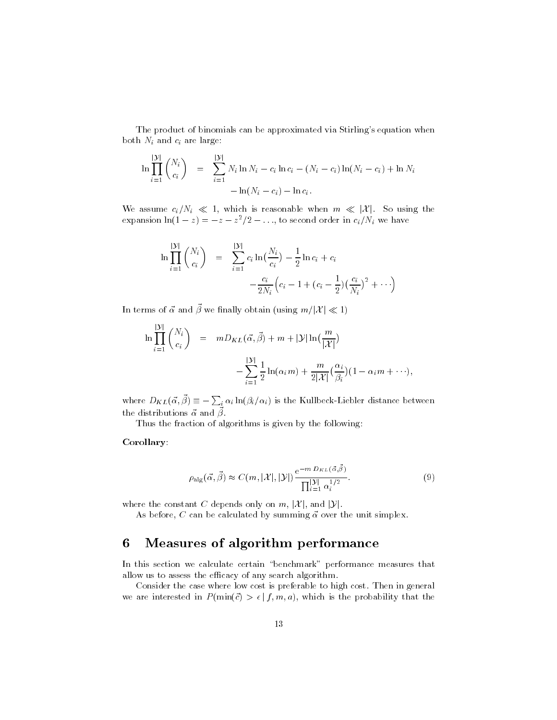The product of binomials can be approximated via Stirling's equation when both  $N_i$  and  $c_i$  are large:

$$
\ln \prod_{i=1}^{|\mathcal{Y}|} {N_i \choose c_i} = \sum_{i=1}^{|\mathcal{Y}|} N_i \ln N_i - c_i \ln c_i - (N_i - c_i) \ln(N_i - c_i) + \ln N_i -\ln(N_i - c_i) - \ln c_i.
$$

We assume  $c_i/N_i \ll 1$ , which is reasonable when  $m \ll |\mathcal{X}|$ . So using the expansion  $\ln(1-z) = -z - z^2/2 - \ldots$ , to second order in  $c_i/N_i$  we have

$$
\ln \prod_{i=1}^{|\mathcal{Y}|} {N_i \choose c_i} = \sum_{i=1}^{|\mathcal{Y}|} c_i \ln \left( \frac{N_i}{c_i} \right) - \frac{1}{2} \ln c_i + c_i
$$

$$
- \frac{c_i}{2N_i} \left( c_i - 1 + (c_i - \frac{1}{2}) \left( \frac{c_i}{N_i} \right)^2 + \cdots \right)
$$
  
In terms of  $\vec{\alpha}$  and  $\vec{\beta}$  we finally obtain (using  $m/|\mathcal{X}| \ll 1$ )

$$
\ln \prod_{i=1}^{|\mathcal{Y}|} \binom{N_i}{c_i} = m D_{KL}(\vec{\alpha}, \vec{\beta}) + m + |\mathcal{Y}| \ln(\frac{m}{|\mathcal{X}|})
$$

$$
- \sum_{i=1}^{|\mathcal{Y}|} \frac{1}{2} \ln(\alpha_i m) + \frac{m}{2|\mathcal{X}|} (\frac{\alpha_i}{\beta_i}) (1 - \alpha_i m + \cdots),
$$
  
where  $D_{KL}(\vec{\alpha}, \vec{\beta}) \equiv -\sum_i \alpha_i \ln(\beta_i/\alpha_i)$  is the Kullbeck-Liebler distance between

the distributions  $\alpha$  and  $\rho$ .

Thus the fraction of algorithms is given by the following-

### Corollary-

$$
\rho_{\rm alg}(\vec{\alpha}, \vec{\beta}) \approx C(m, |\mathcal{X}|, |\mathcal{Y}|) \frac{\mathrm{e}^{-m D_{KL}(\vec{\alpha}, \vec{\beta})}}{\prod_{i=1}^{|\mathcal{Y}|} \alpha_i^{1/2}}.
$$
\n(9)

where the constant C depends only on  $m$ ,  $|\mathcal{X}|$ , and  $|\mathcal{Y}|$ .

as before C can be calculated by summing - calculated milliplexies

## Measures of algorithm performance

In this section we calculate certain "benchmark" performance measures that allow us to assess the efficacy of any search algorithm.

Consider the case where low cost is preferable to high cost Then in general we are interested in  $P(\min(\vec{c}) > \epsilon | f, m, a)$ , which is the probability that the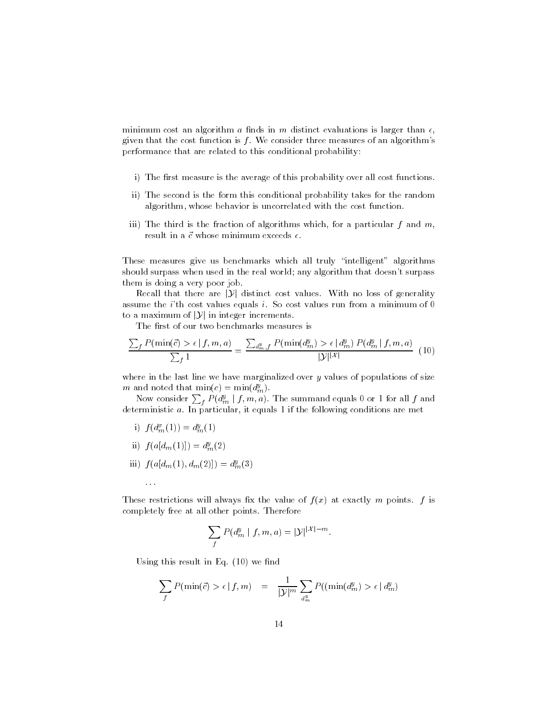minimum cost an algorithm a finds in m distinct evaluations is larger than  $\epsilon$ . given that the cost function is  $f$ . We consider three measures of an algorithm's performance that are related to this conditional probability-

- i) The first measure is the average of this probability over all cost functions.
- ii) The second is the form this conditional probability takes for the random algorithm, whose behavior is uncorrelated with the cost function.
- iii) The third is the fraction of algorithms which, for a particular  $f$  and  $m$ ,

These measures give us benchmarks which all truly "intelligent" algorithms should surpass when used in the real world any algorithm that doesnt surpass them is doing a very poor job uld surpass when used in the real world; any algorithm that doesn't surpass<br>m is doing a very poor job.<br>Recall that there are |Y| distinct cost values. With no loss of generality

assume that i so cost values equals if So cost values run from a minimum of the c Recall that there are  $|\mathcal{Y}|$  distinct cost values assume the *i*'th cost values equals *i*. So cost to a maximum of  $|\mathcal{Y}|$  in integer increments.

The first of our two benchmarks measures is

$$
\frac{\sum_{f} P(\min(\vec{c}) > \epsilon | f, m, a)}{\sum_{f} 1} = \frac{\sum_{d_{m}, f} P(\min(d_{m}^{y}) > \epsilon | d_{m}^{y}) P(d_{m}^{y} | f, m, a)}{|\mathcal{Y}|^{|\mathcal{X}|}} \tag{10}
$$

where in the last line we have marginalized over y values of populations of size m and noted that  $\min(c) = \min(d_m^y)$ .

Now consider  $\sum_{f} P(d_{m}^{y} \mid f, m, a).$  The summand equals 0 or 1 for all  $f$  and deterministic  $a$ . In particular, it equals 1 if the following conditions are met

i)  $f(d_m^x(1)) = d_m^y(1)$ 

 $\sim 10$ 

- $iij$   $j$  ( $a_{m}$ (1)]) =  $a_{m}^{s}$ (2)
- iii)  $J(u[a_m(1), a_m(2)]) = a_m^s(3)$

These restrictions will always fix the value of  $f(x)$  at exactly m points. f is completely free at all other points Therefore

other points. Therefore  
\n
$$
\sum_{f} P(d_m^y | f, m, a) = |\mathcal{Y}|^{|\mathcal{X}| - m}.
$$

Using this result in Eq.  $(10)$  we find

$$
\sum_{f} P(\min(\vec{c}) > \epsilon | f, m) = \frac{1}{|\mathcal{Y}|^{m}} \sum_{d_m^y} P((\min(d_m^y) > \epsilon | d_m^y))
$$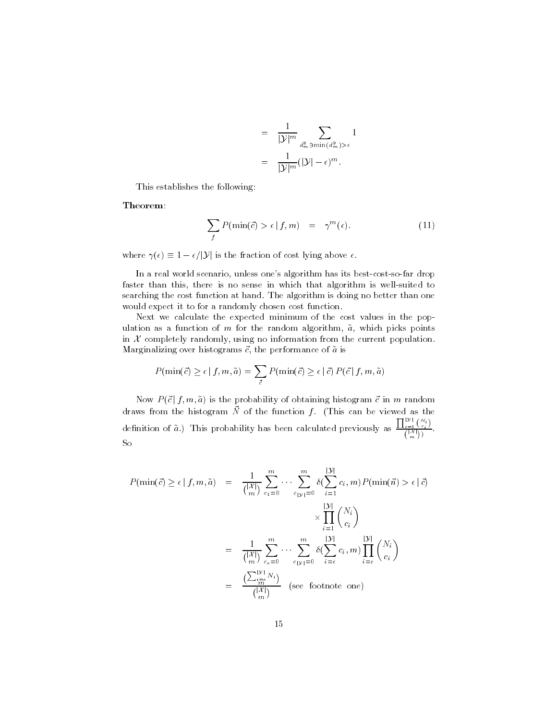$$
= \frac{1}{|\mathcal{Y}|^m} \sum_{\substack{d_m^y \ni \min(d_m^y) > \epsilon}} 1
$$

$$
= \frac{1}{|\mathcal{Y}|^m} (|\mathcal{Y}| - \epsilon)^m.
$$

This establishes the following:

Theorem-

$$
\sum_{f} P(\min(\vec{c}) > \epsilon | f, m) = \gamma^{m}(\epsilon). \tag{11}
$$

where  $\gamma(\epsilon) \equiv 1 - \epsilon / |\mathcal{Y}|$  is the fraction of cost lying above  $\epsilon$ .

In a real world scenario, unless one's algorithm has its best-cost-so-far drop faster than this, there is no sense in which that algorithm is well-suited to searching the cost function at hand. The algorithm is doing no better than one would expect it to for a randomly chosen cost function.

Next we calculate the expected minimum of the cost values in the pop ulation as a function of m for the random algorithm,  $\tilde{a}$ , which picks points in  $X$  completely randomly, using no information from the current population. Marginalizing over histograms -c the performance of a is

$$
P(\min(\vec{c}) \ge \epsilon \mid f, m, \tilde{a}) = \sum_{\vec{c}} P(\min(\vec{c}) \ge \epsilon \mid \vec{c}) P(\vec{c} \mid f, m, \tilde{a})
$$

Now  $P(\vec{c} \mid f, m, \tilde{a})$  is the probability of obtaining histogram  $\vec{c}$  in m random  $\alpha$  and  $\alpha$  are the function function form the can be viewed as the  $\alpha$ definition of  $\tilde{a}$ .) This probability has been calculated previously as  $\frac{\prod_{i=1}^{|\mathcal{Y}|} {N_i \choose i}}{\ell^{\mathcal{Y}(\mathcal{Y})}}$ .  $\binom{|\mathcal{A}|}{m}$ So

$$
P(\min(\vec{c}) \ge \epsilon | f, m, \tilde{a}) = \frac{1}{\binom{|\mathcal{X}|}{m}} \sum_{c_1=0}^m \cdots \sum_{c_{|\mathcal{Y}|}=0}^m \delta(\sum_{i=1}^{|\mathcal{Y}|} c_i, m) P(\min(\vec{n}) > \epsilon | \vec{c})
$$

$$
\times \prod_{i=1}^{|\mathcal{Y}|} \binom{N_i}{c_i}
$$

$$
= \frac{1}{\binom{|\mathcal{X}|}{m}} \sum_{c_\epsilon=0}^m \cdots \sum_{c_{|\mathcal{Y}|}=0}^m \delta(\sum_{i=\epsilon}^{|\mathcal{Y}|} c_i, m) \prod_{i=\epsilon}^{|\mathcal{Y}|} \binom{N_i}{c_i}
$$

$$
= \frac{\binom{\sum_{i=\epsilon}^{|\mathcal{Y}|} N_i}{m}}{\binom{|\mathcal{X}|}{m}}
$$
 (see footnote one)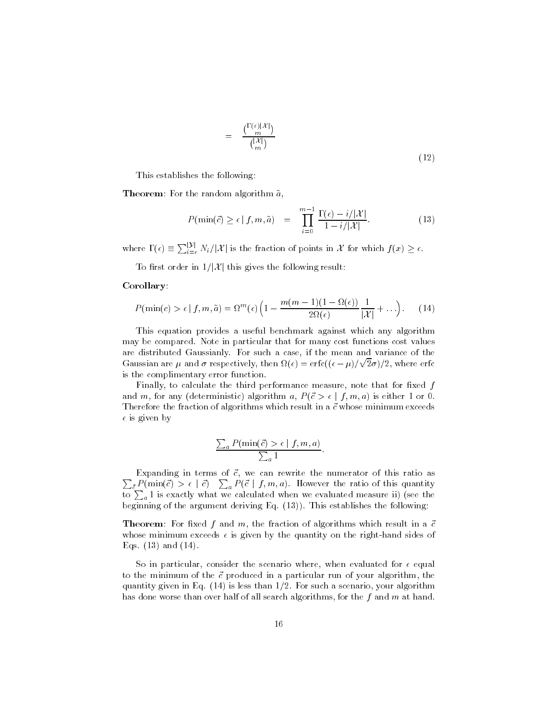$$
= \frac{\binom{\Gamma(\epsilon)|\mathcal{X}|}{m}}{\binom{|\mathcal{X}|}{m}}
$$
\n(12)

This establishes the following-

Theorem- For the random algorithm a

the random algorithm 
$$
\tilde{a}
$$
,  
\n
$$
P(\min(\vec{c}) \ge \epsilon | f, m, \tilde{a}) = \prod_{i=0}^{m-1} \frac{\Gamma(\epsilon) - i/|\mathcal{X}|}{1 - i/|\mathcal{X}|}.
$$
\n(13)

where  $\Gamma(\epsilon) = \sum_{i=0}^{\mathcal{V}} N_i / |\mathcal{X}|$  is the fraction of points in  $\mathcal{X}$  for which  $f(x) \geq \epsilon$ . Exercise  $\Gamma(\epsilon) \equiv \sum_{i=\epsilon}^{|\mathcal{Y}|} N_i/|\mathcal{X}|$  is the fraction of points in  $\mathcal{X}$ <br>To first order in  $1/|\mathcal{X}|$  this gives the following result:

### Corollary-

$$
P(\min(c) > \epsilon \mid f, m, \tilde{a}) = \Omega^m(\epsilon) \left( 1 - \frac{m(m-1)(1 - \Omega(\epsilon))}{2\Omega(\epsilon)} \frac{1}{|\mathcal{X}|} + \ldots \right). \tag{14}
$$

This equation provides a useful benchmark against which any algorithm may be compared. Note in particular that for many cost functions cost values are distributed Gaussianly For such a case if the mean and variance of the are distributed Gaussianly. For such a case, if the mean and variance of the<br>Gaussian are  $\mu$  and  $\sigma$  respectively, then  $\Omega(\epsilon) = \text{erfc}((\epsilon - \mu)/\sqrt{2}\sigma)/2$ , where erfc is the complimentary error function

Finally, to calculate the third performance measure, note that for fixed  $f$ and m, for any (deterministic) algorithm a,  $P(\vec{c} > \epsilon | f, m, a)$  is either 1 or 0. Therefore the fraction of algorithms which result in a -c which result in a -c whose minimum exceeds  $\mathbf{m}$  $\epsilon$  is given by

$$
\frac{\sum_{a} P(\min(\vec{c}) > \epsilon \mid f, m, a)}{\sum_{a} 1}.
$$

 $\sum_{\vec{c}} P(\min(\vec{c}) > \epsilon | \vec{c})$   $\sum_{a} P(\vec{c} | f, m, a)$ . However the ratio of this quantity  $\mathbf{E}$  -companion in terms of  $\mathbf{E}$  -companion as a rewrite the numerator of this ratio as a rewrite this ratio as a rewrite this ratio as a rewrite this ratio as a rewrite this ratio as a rewrite this ratio as a rew to  $\sum_a 1$  is exactly what we calculated when we evaluated measure ii) (see the beginning of the argument deriving Eq.  $(13)$ ). This establishes the following:

Theorem- For xed f and m the fraction of algorithms which result in a -c whose minimum exceeds  $\epsilon$  is given by the quantity on the right-hand sides of Eqs.  $(13)$  and  $(14)$ .

So in particular, consider the scenario where, when evaluated for  $\epsilon$  equal to the minimum of the -c produced in a particular run of your algorithm the quantity given in Eq.  $(14)$  is less than  $1/2$ . For such a scenario, your algorithm has done worse than over half of all search algorithms, for the f and m at hand.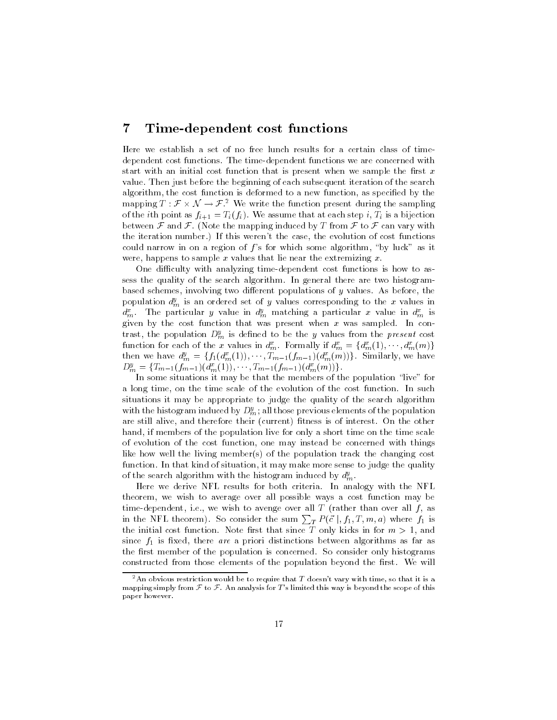#### $\overline{7}$ Time-dependent cost functions

Here we establish a set of no free lunch results for a certain class of time dependent cost functions The timedependent functions we are concerned with start with an initial cost function that is present when we sample the first  $x$ value Then just before the beginning of each subsequent iteration of the search algorithm, the cost function is deformed to a new function, as specified by the value. Then just before the beginning of each subsequent iteration of the search algorithm, the cost function is deformed to a new function, as specified by the mapping  $T : \mathcal{F} \times \mathcal{N} \to \mathcal{F}$ .<sup>2</sup> We write the function  $\bf{1}$  is a finite as first assume that at each step is a bijection of the step in the step in the step in the step in the step in the step in the step in the step in the step in the step in the step in the step in the s between  $\mathcal F$  and  $\mathcal F$ . (Note the mapping induced by T from  $\mathcal F$  to  $\mathcal F$  can vary with the iteration number.) If this weren't the case, the evolution of cost functions could narrow in on a region of  $f$ 's for which some algorithm, "by luck" as it were, happens to sample x values that lie near the extremizing  $x$ .

One difficulty with analyzing time-dependent cost functions is how to assess the quality of the search algorithm. In general there are two histogrambased schemes, involving two different populations of  $y$  values. As before, the population  $d_m^y$  is an ordered set of y values corresponding to the x values in  $d_m^x$ . The particular y value in  $d_m^y$  matching a particular x value in  $d_m^x$  is given by the cost function that was present when  $x$  was sampled. In contrast, the population  $D_m^y$  is defined to be the y values from the *present* cost function for each of the x values in  $d_m^x$ . Formally if  $d_m^x = \{d_m^x(1), \cdots, d_m^x(m)\}$ then we have  $d_m^y = \{f_1(d_m^x(1)), \cdots, T_{m-1}(f_{m-1})(d_m^x(m))\}$ . Similarly, we have  $D_m^y = \{T_{m-1}(f_{m-1})(d_m^x(1)), \cdots, T_{m-1}(f_{m-1})(d_m^x(m))\}.$ 

In some situations it may be that the members of the population "live" for a long time, on the time scale of the evolution of the cost function. In such situations it may be appropriate to judge the quality of the search algorithm with the histogram induced by  $D_m^y$ ; all those previous elements of the population are still alive, and therefore their (current) fitness is of interest. On the other hand, if members of the population live for only a short time on the time scale of evolution of the cost function one may instead be concerned with things like how well the living member(s) of the population track the changing cost function. In that kind of situation, it may make more sense to judge the quality of the search algorithm with the histogram induced by  $d_m^y$ .

Here we derive NFL results for both criteria In analogy with the NFL theorem, we wish to average over all possible ways a cost function may be time-dependent, i.e., we wish to avenge over all T (rather than over all  $f$ , as in the NFL theorem). So consider the sum  $\sum_{T} P(\vec{c} \mid, f_1, T, m, a)$  where  $f_1$  is the initial cost function Note rst that since T only kicks in for m and since f is xed there are a priori distinctions between algorithms as far as far as far as far as far as far as far as far as far as far as far as far as far as far as far as far as far as far as far as far as far as far a the first member of the population is concerned. So consider only histograms constructed from those elements of the population beyond the first. We will

<sup>&</sup>lt;sup>2</sup>An obvious restriction would be to require that T doesn't vary with time, so that it is a mapping simply from  $\mathcal F$  to  $\mathcal F$ . An analysis for T's limited this way is beyond the scope of this paper however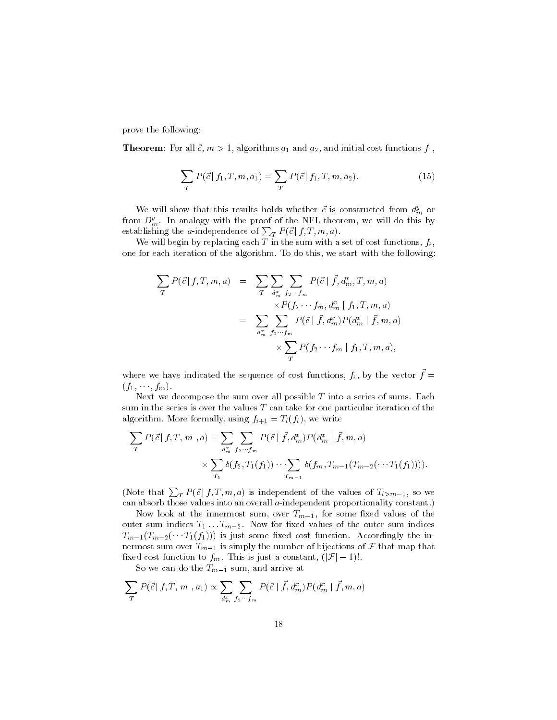prove the following:

 $T$  and a and initial cost functions functions functions functions functions functions functions functions functions functions functions functions functions functions functions functions functions functions functions func

$$
\sum_{T} P(\vec{c} | f_1, T, m, a_1) = \sum_{T} P(\vec{c} | f_1, T, m, a_2).
$$
 (15)

We will show that this results holds whether c is constructed from  $a_m^s$  or from  $D_m^y$ . In analogy with the proof of the NFL theorem, we will do this by establishing the *a*-independence of  $\sum_{T} P(\vec{c} \,|\, f, T, m, a)$ .

We will begin by replacing each  $\overline{T}$  in the sum with a set of cost functions,  $f_i$ , one for each iteration of the algorithm. To do this, we start with the following:

$$
\sum_{T} P(\vec{c} | f, T, m, a) = \sum_{T} \sum_{d_m^x} \sum_{f_2 \cdots f_m} P(\vec{c} | \vec{f}, d_m^x, T, m, a)
$$
  

$$
= \sum_{d_m^x} \sum_{f_2 \cdots f_m} P(\vec{c} | \vec{f}, d_m^x | f_1, T, m, a)
$$
  

$$
= \sum_{d_m^x} \sum_{f_2 \cdots f_m} P(\vec{c} | \vec{f}, d_m^x) P(d_m^x | \vec{f}, m, a)
$$
  

$$
\times \sum_{T} P(f_2 \cdots f_m | f_1, T, m, a),
$$

where we have indicated the sequence of cost functions,  $f_i$ , by the vector  $f =$  $(f_1,\ldots,f_m).$ 

Next we decompose the sum over all possible  $T$  into a series of sums. Each sum in the series is over the values  $T$  can take for one particular iteration of the algorithm More formally using  $f \circ f : I \to \{f \circ f\}$  , we write

$$
\sum_{T} P(\vec{c} | f, T, m, a) = \sum_{d_m^x} \sum_{f_2 \cdots f_m} P(\vec{c} | \vec{f}, d_m^x) P(d_m^x | \vec{f}, m, a)
$$

$$
\times \sum_{T_1} \delta(f_2, T_1(f_1)) \cdots \sum_{T_{m-1}} \delta(f_m, T_{m-1}(T_{m-2}(\cdots T_1(f_1))))
$$

(Note that  $\sum_{T} P(\vec{c} | f, T, m, a)$  is independent of the values of  $T_{i > m-1}$ , so we can absorb those values into an overall *a*-independent proportionality constant.)

. The indicate the intermost sum over  $\mathbb{F}_t$  is some sum of the some some  $\mathbb{F}_t$  . Then  $\mathbf{u} = \mathbf{u}$  the outer sum indices  $\mathbf{u} = \mathbf{u}$  $T_{m-1}(T_{m-2}(\cdots T_1(f_1)))$  is just some fixed cost function. Accordingly the innermost sum over  $T_{m-1}$  is simply the number of bijections of F that map that  $T_{m-1}(T_{m-2}(\cdots T_1(f_1)))$  is just some fixed cost function. Acconverses to form  $T_{m-1}$  is simply the number of bijections of  $\mathcal F$  fixed cost function to  $f_m$ . This is just a constant,  $(|\mathcal F|-1)!$ .

 $\mathcal{S}$  arrive at the Tm-s and arrive at the Tm-s and arrive at the Tm-s and arrive at the Tm-s arrive at the Tm-s and arrive at the Tm-s and arrive at the Tm-s and arrive at the Tm-s and arrive at the Tm-s and arrive at

$$
\sum_{T} P(\vec{c} \mid f, T, m, a_1) \propto \sum_{d_m^x} \sum_{f_2 \cdots f_m} P(\vec{c} \mid \vec{f}, d_m^x) P(d_m^x \mid \vec{f}, m, a)
$$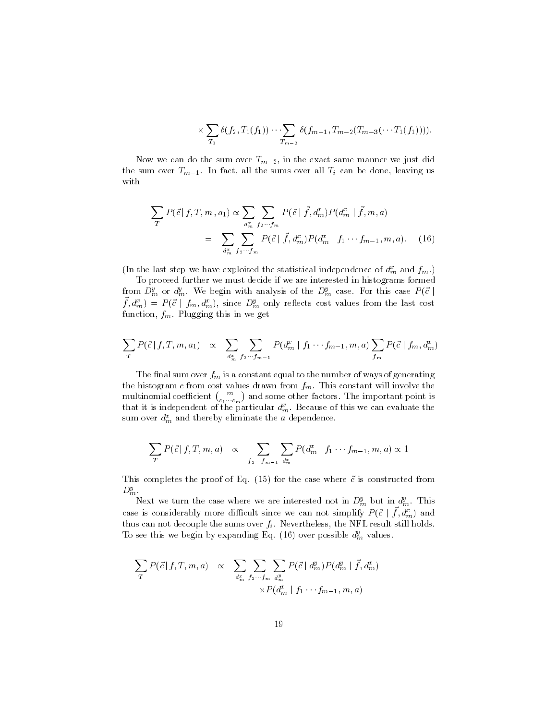$$
\times \sum_{T_1} \delta(f_2, T_1(f_1)) \cdots \sum_{T_{m-2}} \delta(f_{m-1}, T_{m-2}(T_{m-3}(\cdots T_1(f_1))))
$$

. In the sum over the sum over  $\mathbb{F}_H=\mathbb{F}_2$  in the exact same manner we just did  $\mathcal{L}$  in fact all the sums of  $\mathcal{L}$  the sums over all the sums over all the sums over  $\mathcal{L}$  and with

$$
\sum_{T} P(\vec{c} | f, T, m, a_1) \propto \sum_{d_m^x} \sum_{f_2 \cdots f_m} P(\vec{c} | \vec{f}, d_m^x) P(d_m^x | \vec{f}, m, a)
$$
  
= 
$$
\sum_{d_m^x} \sum_{f_2 \cdots f_m} P(\vec{c} | \vec{f}, d_m^x) P(d_m^x | f_1 \cdots f_{m-1}, m, a).
$$
 (16)

(In the last step we have exploited the statistical independence of  $d_m^x$  and  $f_m$ .)

To proceed further we must decide if we are interested in histograms formed from  $D_m^y$  or  $d_m^y$ . We begin with analysis of the  $D_m^y$  case. For this case  $P(\vec{c}\mid -1)$  $f, d_m^x = P(\vec{c} \mid f_m, d_m^x)$ , since  $D_m^y$  only reflects cost values from the last cost function,  $f_m$ . Plugging this in we get

$$
\sum_{T} P(\vec{c} \mid f, T, m, a_1) \propto \sum_{d_m^x} \sum_{f_2 \cdots f_{m-1}} P(d_m^x \mid f_1 \cdots f_{m-1}, m, a) \sum_{f_m} P(\vec{c} \mid f_m, d_m^x)
$$

The final sum over  $f_m$  is a constant equal to the number of ways of generating the histogram c from cost values drawn from  $f_m$ . This constant will involve the multinomial coefficient  $\binom{m}{c_1\cdots c_m}$  an **Service Contract Contract Contract** and some other factors The important point is the important point is the important point is the important point is  $\mathbf{I}$ that it is independent of the particular  $a_m$ . Because of this we can evaluate the sum over  $d_m^x$  and thereby eliminate the a dependence.

$$
\sum_{T} P(\vec{c} \mid f, T, m, a) \propto \sum_{f_2 \cdots f_{m-1}} \sum_{d_m^x} P(d_m^x \mid f_1 \cdots f_{m-1}, m, a) \propto 1
$$

This completes the proof of Eq for the case where -c is constructed from

 $D_m^y$ .<br>Next we turn the case where we are interested not in  $D_m^y$  but in  $d_m^y$ . This case is considerably more difficult since we can not simplify  $P(\vec{c} \mid f, d^x_m)$  and thus can not decouple the sums over  $f_i$ . Nevertheless, the NFL result still holds. To see this we begin by expanding Eq. (16) over possible  $d_m^y$  values.

$$
\sum_{T} P(\vec{c} \mid f, T, m, a) \propto \sum_{d_m^x} \sum_{f_2 \cdots f_m} \sum_{d_m^y} P(\vec{c} \mid d_m^y) P(d_m^y \mid \vec{f}, d_m^x)
$$

$$
\times P(d_m^x \mid f_1 \cdots f_{m-1}, m, a)
$$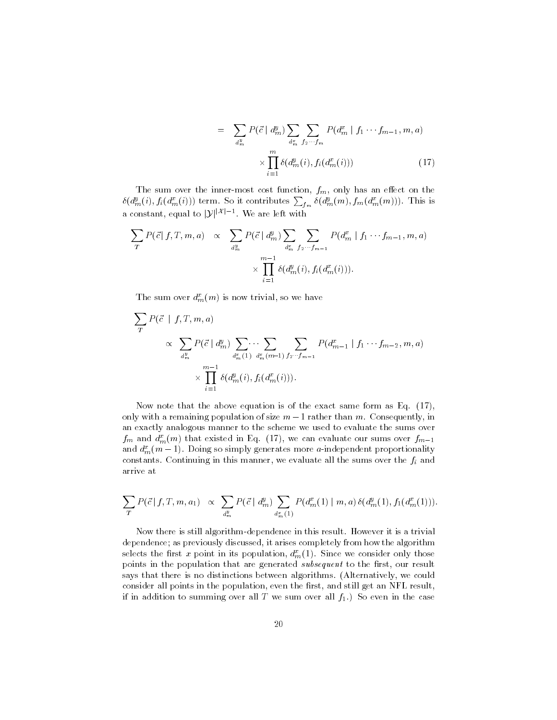$$
= \sum_{d_m^y} P(\vec{c} \mid d_m^y) \sum_{d_m^x} \sum_{f_2 \cdots f_m} P(d_m^x \mid f_1 \cdots f_{m-1}, m, a)
$$

$$
\times \prod_{i=1}^m \delta(d_m^y(i), f_i(d_m^x(i))) \tag{17}
$$

The sum over the inner-most cost function,  $f_m$ , only has an effect on the  $\delta(d_m^y(i), f_i(d_m^x(i)))$  term. So it contributes  $\sum_{f_m} \delta(d_m^y(m), f_m(d_m^x(m)))$ . This is The sum over the inner-mos<br>  $\delta(d_m^y(i), f_i(d_m^x(i)))$  term. So it constant, equal to  $|y|^{|X|-1}$ . W . We are left with

$$
\sum_{T} P(\vec{c} | f, T, m, a) \propto \sum_{d_m^y} P(\vec{c} | d_m^y) \sum_{d_m^x} \sum_{f_2 \cdots f_{m-1}} P(d_m^x | f_1 \cdots f_{m-1}, m, a)
$$

$$
\times \prod_{i=1}^{m-1} \delta(d_m^y(i), f_i(d_m^x(i))).
$$

The sum over  $d_m^x(m)$  is now trivial, so we have

<sup>X</sup> P c <sup>j</sup> f T m a <sup>X</sup> <sup>d</sup> ym <sup>P</sup> c <sup>j</sup> d ym <sup>X</sup> dxm <sup>X</sup> dxmm-<sup>X</sup> ffm <sup>P</sup> d xm <sup>j</sup> f fm- m a mY-i d ymi fid xmi

Now note that the above equation is of the exact same form as Eq.  $(17)$ , only with a remaining population of size  $m-1$  rather than m. Consequently, in an exactly analogous manner to the scheme we used to evaluate the sums over  $f_m$  and  $a_m^m$  (*m*) that existed in Eq. (17), we can evaluate our sums over  $f_{m-1}$ and  $d_m^x(m-1)$ . Doing so simply generates more *a*-independent proportionality constants. Continuing in this manner, we evaluate all the sums over the  $f_i$  and arrive at

$$
\sum_{T} P(\vec{c} \mid f, T, m, a_1) \propto \sum_{d_m^y} P(\vec{c} \mid d_m^y) \sum_{d_m^x(1)} P(d_m^x(1) \mid m, a) \, \delta(d_m^y(1), f_1(d_m^x(1))).
$$

Now there is still algorithm-dependence in this result. However it is a trivial dependence; as previously discussed, it arises completely from how the algorithm selects the first x point in its population,  $d_m^x(1)$ . Since we consider only those points in the population that are generated subsequent to the first, our result says that there is no distinctions between algorithms. (Alternatively, we could consider all points in the population, even the first, and still get an NFL result, if in addition to summing over all T we sum over all  $f_1$ .) So even in the case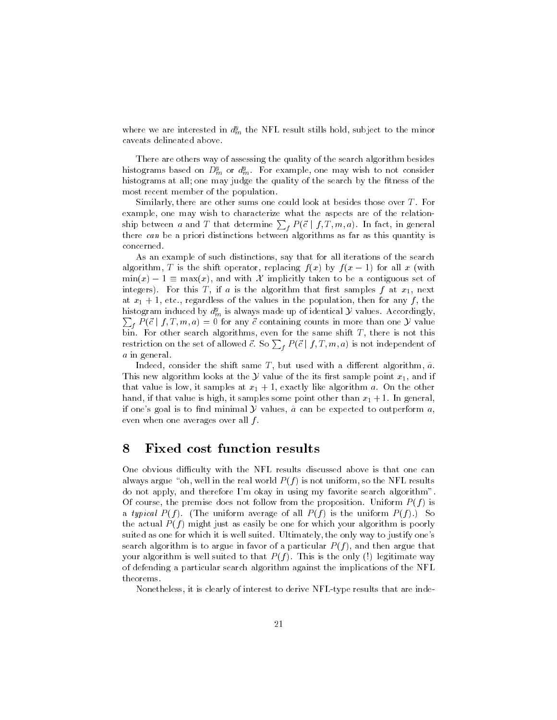where we are interested in  $d_m^y$  the NFL result stills hold, subject to the minor caveats delineated above

There are others way of assessing the quality of the search algorithm besides histograms based on  $D_m^y$  or  $d_m^y$ . For example, one may wish to not consider histograms at all; one may judge the quality of the search by the fitness of the most recent member of the population.

Similarly, there are other sums one could look at besides those over  $T$ . For example, one may wish to characterize what the aspects are of the relationship between a and T that determine  $\sum_{f} P(\vec{c} \mid f, T, m, a)$ . In fact, in general there can be a priori distinctions between algorithms as far as this quantity is concerned

As an example of such distinctions say that for all iterations of the search algorithm, T is the shift operator, replacing  $f(x)$  by  $f(x - 1)$  for all x (with  $min(x) - 1 \equiv max(x)$ , and with X implicitly taken to be a contiguous set of integers). For this T, if a is the algorithm that first samples f at  $x_1$ , next at x etc regardless of the values in the population then for any <sup>f</sup> the histogram induced by  $d^y_m$  is always made up of identical  ${\mathcal Y}$  values. Accordingly,  $f_t P(\vec{c} \mid f, T, m, a) = 0$  for any  $\vec{c}$  containing counts in more than one  $\mathcal Y$  value bin. For other search algorithms, even for the same shift  $T$ , there is not this restriction on the set of allowed  $\vec{c}$ . So  $\sum_{f} P(\vec{c} \mid f, T, m, a)$  is not independent of a in general.

Indeed, consider the shift same T, but used with a different algorithm,  $\hat{a}$ . This new algorithm looks at the Y value of the its first sample point  $x_1$ , and if that value is low it samples at  $\mathbf{r}$  is a  $\mathbf{r}$  of  $\mathbf{r}$ hand if that value is high it samples some point other than x In general if one's goal is to find minimal  $Y$  values,  $\hat{a}$  can be expected to outperform  $a_1$ even when one averages over all  $f$ .

### Fixed cost function results 8

One obvious difficulty with the NFL results discussed above is that one can always argue "oh, well in the real world  $P(f)$  is not uniform, so the NFL results do not apply, and therefore I'm okay in using my favorite search algorithm". Of course, the premise does not follow from the proposition. Uniform  $P(f)$  is a typical  $P(f)$ . (The uniform average of all  $P(f)$  is the uniform  $P(f)$ .) So the actual  $P(f)$  might just as easily be one for which your algorithm is poorly suited as one for which it is well suited. Ultimately, the only way to justify one's search algorithm is to argue in favor of a particular  $P(f)$ , and then argue that your algorithm is well suited to that  $P(f)$ . This is the only (!) legitimate way of defending a particular search algorithm against the implications of the NFL theorems

Nonetheless, it is clearly of interest to derive NFL-type results that are inde-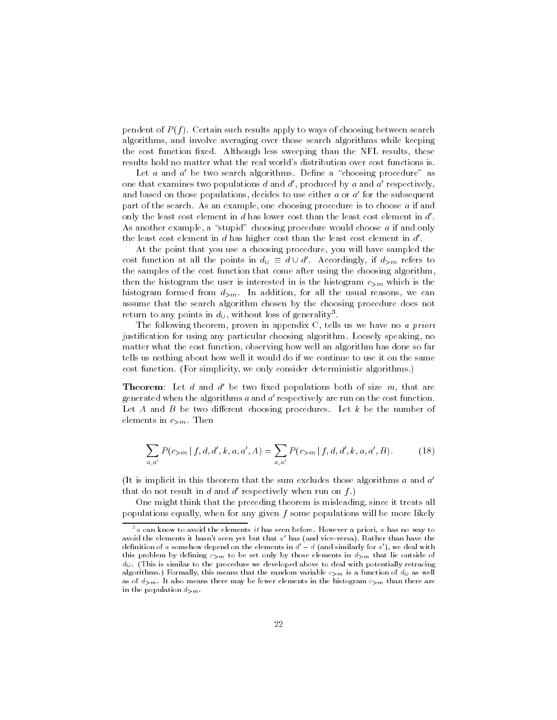pendent of  $P(f)$ . Certain such results apply to ways of choosing between search algorithms and involve averaging over those search algorithms while keeping the cost function fixed. Although less sweeping than the NFL results, these results hold no matter what the real world's distribution over cost functions is.

Let  $a$  and  $a'$  be two search algorithms. Define a "choosing procedure" as one that examines two populations  $d$  and  $d'$ , produced by  $a$  and  $a'$  respectively, and based on those populations, decides to use either  $a$  or  $a'$  for the subsequent part of the search. As an example, one choosing procedure is to choose  $a$  if and only the least cost element in  $d$  has lower cost than the least cost element in  $d'$ . As another example, a "stupid" choosing procedure would choose a if and only the least cost element in  $d$  has higher cost than the least cost element in  $d'$ .

At the point that you use a choosing procedure, you will have sampled the cost function at all the points in  $d_{\cup} \equiv d \cup d'$ . Accordingly, if  $d_{>m}$  refers to the samples of the cost function that come after using the choosing algorithm then the histogram the user is interested in is the histogram  $c_{>m}$  which is the histogram formed from  $d_{>m}$ . In addition, for all the usual reasons, we can assume that the search algorithm chosen by the choosing procedure does not return to any points in  $a_{\cup}$ , without loss of generality".

The following theorem, proven in appendix  $C$ , tells us we have no *a priori* justification for using any particular choosing algorithm. Loosely speaking, no matter what the cost function, observing how well an algorithm has done so far tells us nothing about how well it would do if we continue to use it on the same cost function. (For simplicity, we only consider deterministic algorithms.)

**Theorem:** Let  $a$  and  $a$  be two fixed populations both of size  $m$ , that are generated when the algorithms  $a$  and  $a'$  respectively are run on the cost function. Let A and B be two different choosing procedures. Let  $k$  be the number of elements in  $c_{>m}$ . Then

$$
\sum_{a,a'} P(c_{>m} | f, d, d', k, a, a', A) = \sum_{a,a'} P(c_{>m} | f, d, d', k, a, a', B).
$$
 (18)

(It is implicit in this theorem that the sum excludes those algorithms  $a$  and  $a'$ that do not result in d and d' respectively when run on  $f$ .)

One might think that the preceding theorem is misleading, since it treats all populations equally, when for any given  $f$  some populations will be more likely

 $\,$  a can know to avoid the elements  $u$  has seen before. However a priori,  $a$  has no way to  $\,$ avoid the elements it hasn't seen yet but that  $a'$  has (and vice-versa). Rather than have the definition of a somehow depend on the elements in  $d' - d$  (and similarly for a'), we deal with this problem by defining  $c_{>m}$  to be set only by those elements in  $d_{>m}$  that lie outside of  $d_{\mathsf{U}}$ . (This is similar to the procedure we developed above to deal with potentially retracing algorithms.) Formally, this means that the random variable  $c_{>m}$  is a function of  $d_{\mathsf{U}}$  as well as of  $d_{>m}$ . It also means there may be fewer elements in the histogram  $c_{>m}$  than there are in the population  $d_{>m}$ .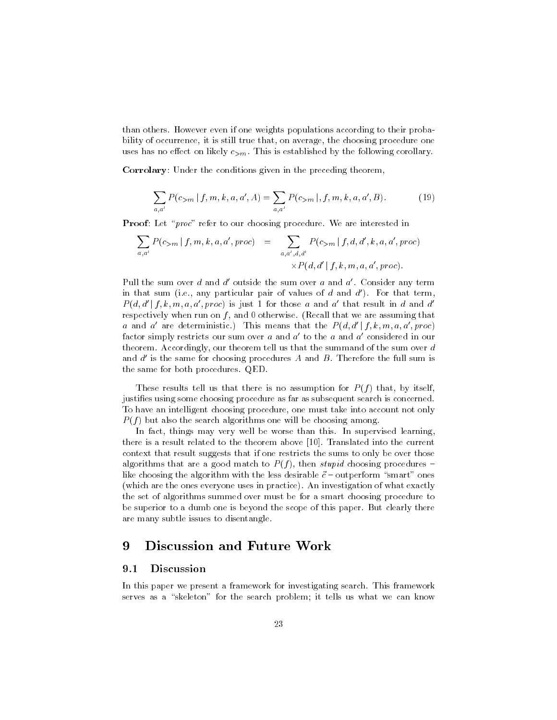than others. However even if one weights populations according to their probability of occurrence, it is still true that, on average, the choosing procedure one uses has no effect on likely  $c_{>m}$ . This is established by the following corollary.

Corrolary- Under the conditions given in the preceding theorem

$$
\sum_{a,a'} P(c_{>m} | f, m, k, a, a', A) = \sum_{a,a'} P(c_{>m} | f, m, k, a, a', B).
$$
 (19)

Proof- Let proc refer to our choosing procedure We are interested in

$$
\sum_{a,a'} P(c_{>m} | f, m, k, a, a', proc) = \sum_{a,a',d,d'} P(c_{>m} | f, d, d', k, a, a', proc)
$$
  
 
$$
\times P(d, d' | f, k, m, a, a', proc).
$$

Pull the sum over d and d' outside the sum over a and  $a'$ . Consider any term in that sum (i.e., any particular pair of values of  $d$  and  $d'$ ). For that term,  $P(d, d' | f, k, m, a, a', proc)$  is just 1 for those a and a' that result in d and d' respectively when run on  $f$ , and 0 otherwise. (Recall that we are assuming that a and a' are deterministic.) This means that the  $P(d, d' | f, k, m, a, a', proc)$ factor simply restricts our sum over  $a$  and  $a'$  to the  $a$  and  $a'$  considered in our theorem. Accordingly, our theorem tell us that the summand of the sum over  $d$ and  $d'$  is the same for choosing procedures A and B. Therefore the full sum is the same for both procedures QED

These results tell us that there is no assumption for  $P(f)$  that, by itself, justifies using some choosing procedure as far as subsequent search is concerned. To have an intelligent choosing procedure, one must take into account not only  $P(f)$  but also the search algorithms one will be choosing among.

In fact, things may very well be worse than this. In supervised learning, there is a result related to the theorem above Translated into the current context that result suggests that if one restricts the sums to only be over those algorithms that are a good match to  $P(f)$ , then *stupid* choosing procedures like choosing the algorithm with the less desirable -c \$ outperform smart ones (which are the ones everyone uses in practice). An investigation of what exactly the set of algorithms summed over must be for a smart choosing procedure to be superior to a dumb one is beyond the scope of this paper. But clearly there are many subtle issues to disentangle

### 9 **Discussion and Future Work**

#### 9.1 Discussion

In this paper we present a framework for investigating search. This framework serves as a "skeleton" for the search problem; it tells us what we can know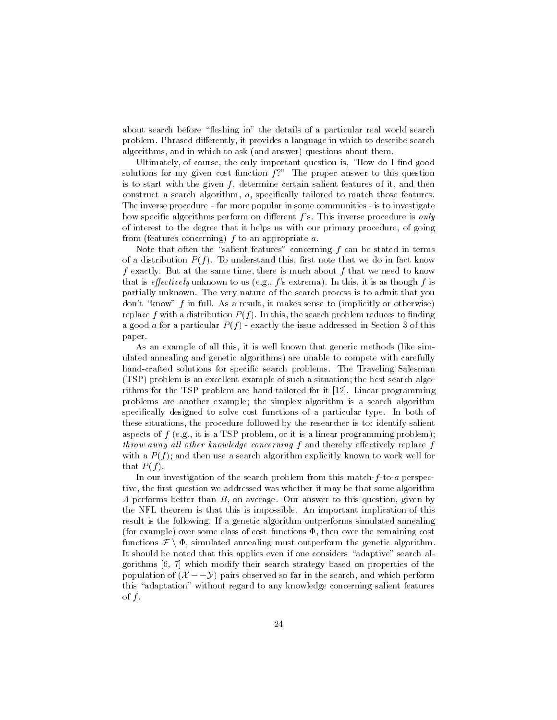about search before "fleshing in" the details of a particular real world search problem. Phrased differently, it provides a language in which to describe search algorithms, and in which to ask (and answer) questions about them.

Ultimately, of course, the only important question is, "How do I find good solutions for my given cost function  $f$ ?" The proper answer to this question is to start with the given  $f$ , determine certain salient features of it, and then construct a search algorithm,  $a$ , specifically tailored to match those features. The inverse procedure - far more popular in some communities - is to investigate how specific algorithms perform on different f's. This inverse procedure is only of interest to the degree that it helps us with our primary procedure of going from (features concerning)  $f$  to an appropriate  $a$ .

Note that often the "salient features" concerning  $f$  can be stated in terms of a distribution  $P(f)$ . To understand this, first note that we do in fact know f exactly. But at the same time, there is much about f that we need to know that is *effectively* unknown to us (e.g.,  $f$ 's extrema). In this, it is as though  $f$  is partially unknown The very nature of the search process is to admit that you don't "know" f in full. As a result, it makes sense to (implicitly or otherwise) replace f with a distribution  $P(f)$ . In this, the search problem reduces to finding a good a for a particular  $P(f)$  - exactly the issue addressed in Section 3 of this paper

As an example of all this, it is well known that generic methods (like simulated annealing and genetic algorithms) are unable to compete with carefully hand-crafted solutions for specific search problems. The Traveling Salesman (TSP) problem is an excellent example of such a situation; the best search algorithms for the TSP problem are handtailored for it Linear programming problems are another example; the simplex algorithm is a search algorithm specifically designed to solve cost functions of a particular type. In both of these situations the procedure followed by the researcher is to- identify salient aspects of  $f$  (e.g., it is a TSP problem, or it is a linear programming problem); throw away all other knowledge concerning  $f$  and thereby effectively replace  $f$ with a  $P(f)$ ; and then use a search algorithm explicitly known to work well for that  $P(f)$ .

In our investigation of the search problem from this match- $f$ -to- $a$  perspective, the first question we addressed was whether it may be that some algorithm A performs better than  $B$ , on average. Our answer to this question, given by the NFL theorem is that this is impossible An important implication of this result is the following If a genetic algorithm outperforms simulated annealing (for example) over some class of cost functions  $\Phi$ , then over the remaining cost result is the following. If a genetic algorithm outperforms simulated annealing<br>(for example) over some class of cost functions  $\Phi$ , then over the remaining cost<br>functions  $\mathcal{F} \setminus \Phi$ , simulated annealing must outperfo It should be noted that this applies even if one considers "adaptive" search al- $\alpha$  which modify the search strategy based on properties of the their search strategy based on properties of the theory of the theory of the theory of the theory of the theory of the theory of the theory of the theory of It should be noted that this applies even if one considers "adaptive" search algorithms [6, 7] which modify their search strategy based on properties of the population of  $(X - y)$  pairs observed so far in the search, and wh this "adaptation" without regard to any knowledge concerning salient features of  $f$ .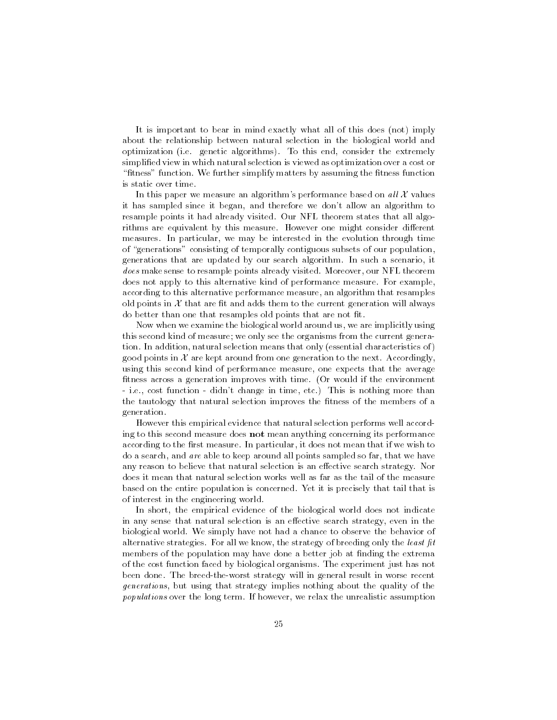It is important to bear in mind exactly what all of this does (not) imply about the relationship between natural selection in the biological world and optimization (i.e. genetic algorithms). To this end, consider the extremely simplified view in which natural selection is viewed as optimization over a cost or "fitness" function. We further simplify matters by assuming the fitness function is static over time

In this paper we measure an algorithm's performance based on all  $\mathcal X$  values it has sampled since it began, and therefore we don't allow an algorithm to resample points it had already visited. Our NFL theorem states that all algorithms are equivalent by this measure. However one might consider different measures. In particular, we may be interested in the evolution through time of "generations" consisting of temporally contiguous subsets of our population, generations that are updated by our search algorithm. In such a scenario, it does make sense to resample points already visited. Moreover, our NFL theorem does not apply to this alternative kind of performance measure. For example, according to this alternative performance measure an algorithm that resamples old points in  $\mathcal X$  that are fit and adds them to the current generation will always do better than one that resamples old points that are not fit.

Now when we examine the biological world around us, we are implicitly using this second kind of measure; we only see the organisms from the current generation. In addition, natural selection means that only (essential characteristics of) good points in  $\mathcal X$  are kept around from one generation to the next. Accordingly, using this second kind of performance measure, one expects that the average fitness across a generation improves with time. (Or would if the environment  $-$  i.e., cost function  $-$  didn't change in time, etc.) This is nothing more than the tautology that natural selection improves the fitness of the members of a generation

However this empirical evidence that natural selection performs well accord ing to this second measure does not mean anything concerning its performance according to the first measure. In particular, it does not mean that if we wish to do a search, and are able to keep around all points sampled so far, that we have any reason to believe that natural selection is an effective search strategy. Nor does it mean that natural selection works well as far as the tail of the measure based on the entire population is concerned. Yet it is precisely that tail that is of interest in the engineering world

In short, the empirical evidence of the biological world does not indicate in any sense that natural selection is an effective search strategy, even in the biological world. We simply have not had a chance to observe the behavior of alternative strategies For all we know the strategy of breeding only the least -t members of the population may have done a better job at finding the extrema of the cost function faced by biological organisms The experiment just has not been done. The breed-the-worst strategy will in general result in worse recent generations, but using that strategy implies nothing about the quality of the populations over the long term. If however, we relax the unrealistic assumption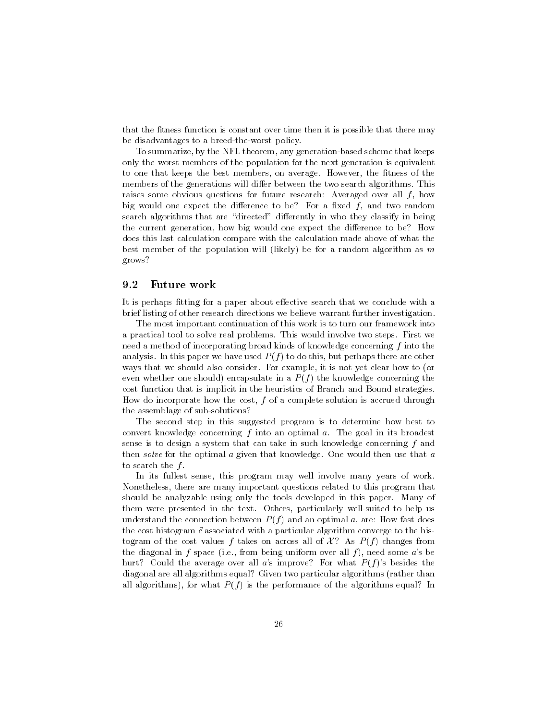that the fitness function is constant over time then it is possible that there may be disadvantages to a breed-the-worst policy.

To summarize, by the NFL theorem, any generation-based scheme that keeps only the worst members of the population for the next generation is equivalent to one that keeps the best members, on average. However, the fitness of the members of the generations will differ between the two search algorithms. This raises some obvious questions for future research-articles for file for all fit  $\mathcal{A}$ big would one expect the difference to be? For a fixed  $f$ , and two random search algorithms that are "directed" differently in who they classify in being the current generation, how big would one expect the difference to be? How does this last calculation compare with the calculation made above of what the best member of the population will (likely) be for a random algorithm as  $m$ grows

#### 9.2 Future work

It is perhaps fitting for a paper about effective search that we conclude with a brief listing of other research directions we believe warrant further investigation

The most important continuation of this work is to turn our framework into a practical tool to solve real problems. This would involve two steps. First we need a method of incorporating broad kinds of knowledge concerning f into the analysis. In this paper we have used  $P(f)$  to do this, but perhaps there are other ways that we should also consider. For example, it is not yet clear how to (or even whether one should) encapsulate in a  $P(f)$  the knowledge concerning the cost function that is implicit in the heuristics of Branch and Bound strategies How do incorporate how the cost,  $f$  of a complete solution is accrued through the assemblage of sub-solutions?

The second step in this suggested program is to determine how best to convert knowledge concerning  $f$  into an optimal  $a$ . The goal in its broadest sense is to design a system that can take in such knowledge concerning f and then solve for the optimal  $a$  given that knowledge. One would then use that  $a$ to search the  $f$ .

In its fullest sense, this program may well involve many years of work. Nonetheless there are many important questions related to this program that should be analyzable using only the tools developed in this paper. Many of them were presented in the text. Others, particularly well-suited to help us understand the connection between P f and an optimal a are- How fast does the cost histogram - cost histogram - cost histogram - converges to the histogram - convergence to the histogram - converge to the histogram - converge to the histogram - converge to the histogram - converge to the histog togram of the cost values f takes on across all of  $\mathcal{X}$ ? As  $P(f)$  changes from the diagonal in f space (i.e., from being uniform over all f), need some a's be hurt? Could the average over all a's improve? For what  $P(f)$ 's besides the diagonal are all algorithms equal? Given two particular algorithms (rather than all algorithms), for what  $P(f)$  is the performance of the algorithms equal? In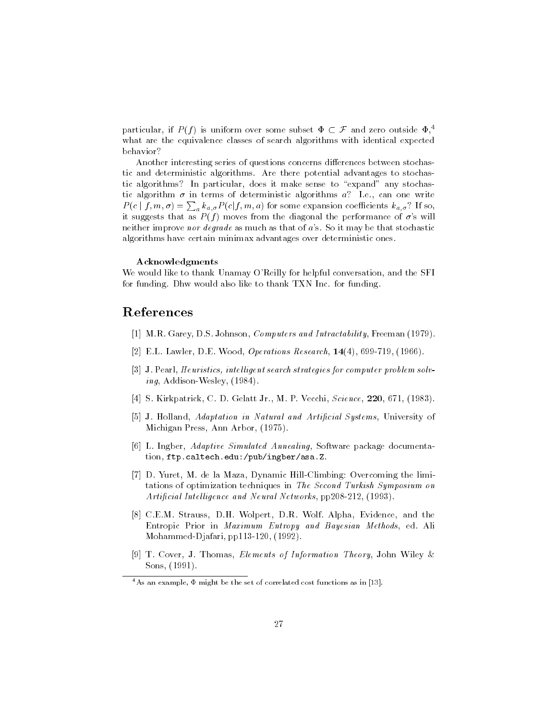particular, if  $P(f)$  is uniform over some subset  $\Phi \subset \mathcal{F}$  and zero outside  $\Phi$ <sup>4</sup>. what are the equivalence classes of search algorithms with identical expected behavior

Another interesting series of questions concerns differences between stochastic and deterministic algorithms Are there potential advantages to stochas tic algorithms? In particular, does it make sense to "expand" any stochastic algorithm  $\sigma$  in terms of deterministic algorithms a? I.e., can one write  $P(c | f, m, \sigma) = \sum_{a} k_{a,\sigma} P(c | f, m, a)$  for some expansion coefficients  $k_{a,\sigma}$ ? If so, it suggests that as  $P(f)$  moves from the diagonal the performance of  $\sigma$ 's will neither improve nor degrade as much as that of  $a$ 's. So it may be that stochastic algorithms have certain minimax advantages over deterministic ones

### Acknowledgments

We would like to thank Unamay O'Reilly for helpful conversation, and the SFI for funding. Dhw would also like to thank TXN Inc. for funding.

## References

- MR Garey DS Johnson Computers and Intractability Freeman
- EL Lawler DE Wood Operations Research
- J Pearl Heuristics intel ligent search strategies for computer problem solv  $ing$ , Addison-Wesley,  $(1984)$ .
- S Kirkpatrick C D Gelatt Jr M P Vecchi Science D Gelatt Jr M P Vecchi Science D Gelatt Jr M P Vecchi Scien<br>- S Kirkpatrick C D Gelatt Jr M P Vecchi Science D Gelatt Jr M P Vecchi Science D Gelatt Jr M P Vecchi Sci
- jej er <del>adaptation i natur</del>al and Article and Article and Article and Article in Natural Systems University of th Michigan Press, Ann Arbor, (1975).
- Lat an anglo signification of the Software Simulated Annealing Software package documentation of tion ftpcaltechedu-pub-ingber-asaZ
- $\mathcal{L}$  , and the latter must define the limit  $\mathcal{L}$  and  $\mathcal{L}$  are defined to limit the limit of  $\mathcal{L}$ tations of optimization techniques in The Second Turkish Symposium on Arti-cial Intel ligence and Neural Networks pp
- CEM Strauss DH Wolpert DR Wolf Alpha Evidence and the Entropic Prior in Maximum Entropy and Bayesian Methods, ed. Ali Mohammed-Djafari, pp113-120, (1992).
- T Cover J Thomas Elements of Information Theory John Wiley & Sons, (1991).

<sup>-</sup> As an example,  $\Psi$  might be the set of correlated cost functions as in  $[15]$ .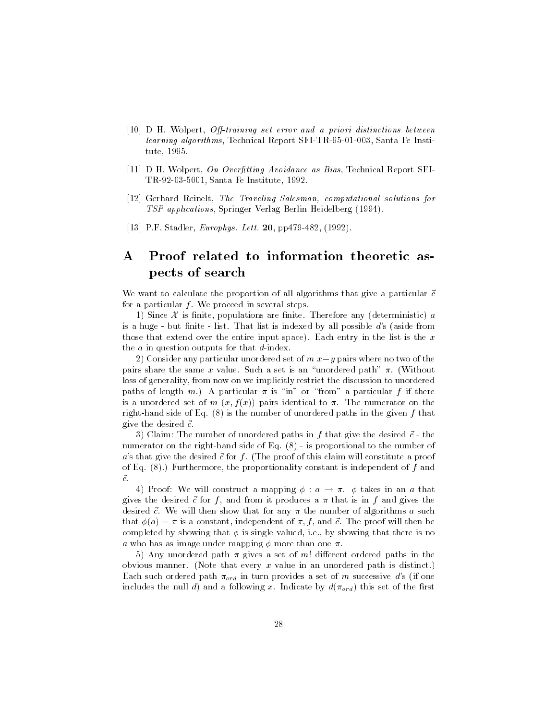- D H Wolpert Otraining set error and a priori distinctions between  $learning\ algorithms, Technical\ Report\ SFI-TR-95-01-003, Santa Fe Insti$ tute, 1995.
- tting as a bias the control of the control of the assembly assembled as Bias Technical Report SFI and the control of the control of the control of the control of the control of the control of the control of the control of TR-92-03-5001, Santa Fe Institute, 1992.
- Gerhard Reinelt The Traveling Salesman computational solutions for TSP applications, Springer Verlag Berlin Heidelberg (1994).
- produced the statistic product of the statistic order  $\mathcal{L}$  .

### $\mathbf{A}$ Proof related to information theoretic aspects of search

We want to calculate the proportion of all algorithms that give a particular -c for a particular  $f$ . We proceed in several steps.

1) Since  $\mathcal X$  is finite, populations are finite. Therefore any (deterministic) a is a huge - but finite  $-$  list. That list is indexed by all possible  $d$ 's (aside from those that extend over the entire input space). Each entry in the list is the  $x$ the  $a$  in question outputs for that  $d$ -index.

2) Consider any particular unordered set of  $m x-y$  pairs where no two of the pairs share the same x value. Such a set is an "unordered path"  $\pi$ . (Without loss of generality, from now on we implicitly restrict the discussion to unordered paths of length m.) A particular  $\pi$  is "in" or "from" a particular f if there is a unordered set of  $m(x, f(x))$  pairs identical to  $\pi$ . The numerator on the right-hand side of Eq.  $(8)$  is the number of unordered paths in the given f that give the desired of the desired of the desired of the desired of the desired of the desired of the desired of the  $\sim$ 

c, common which is not understanding paths in fact, and desired a contract of the desired of the desired of th numerator on the right-hand side of Eq.  $(8)$  - is proportional to the number of as that give the desired - for f the proof of this constitute a proof of the proof of Eq.  $(8)$ .) Furthermore, the proportionality constant is independent of f and

4) Proof: We will construct a mapping  $\phi : a \to \pi$ .  $\phi$  takes in an a that  $\alpha$  for f and from it produces a from it produces a that is in fantasy in fantasy in fantasy in fantasy in fantasy in fantasy in fantasy in fantasy in fantasy in fantasy in fantasy in fantasy in fantasy in fantasy in fan desired - c We will then show that for any  $\alpha$ that a set of the proof will then been because the state of the proof will then be the state of the proof will completed by showing that  $\phi$  is single-valued, i.e., by showing that there is no a who has as image under mapping  $\phi$  more than one  $\pi$ .

5) Any unordered path  $\pi$  gives a set of m! different ordered paths in the obvious manner. (Note that every  $x$  value in an unordered path is distinct.) Each such ordered path  $\pi_{ord}$  in turn provides a set of m successive d's (if one includes the null d) and a following x. Indicate by  $d(\pi_{ord})$  this set of the first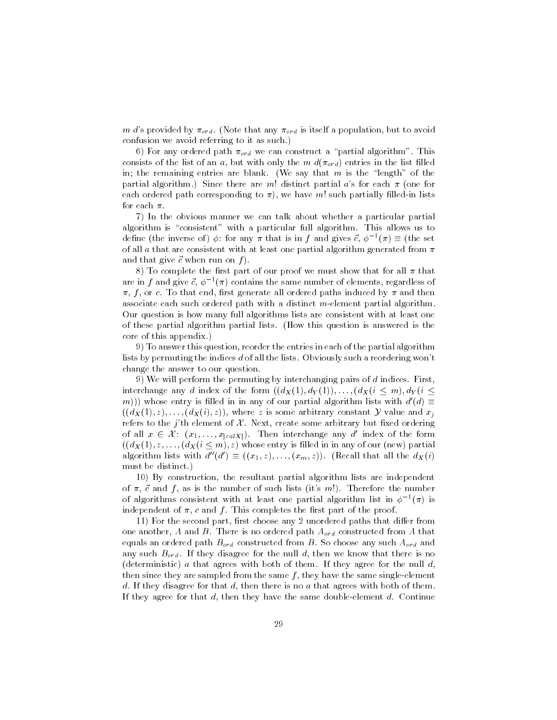m d's provided by  $\pi_{ord}$ . (Note that any  $\pi_{ord}$  is itself a population, but to avoid confusion we avoid referring to it as such

6) For any ordered path  $\pi_{ord}$  we can construct a "partial algorithm". This consists of the list of an a, but with only the m  $d(\pi_{ord})$  entries in the list filled in; the remaining entries are blank. (We say that  $m$  is the "length" of the partial algorithm.) Since there are m! distinct partial a's for each  $\pi$  (one for each ordered path corresponding to  $\pi$ ), we have m! such partially filled-in lists for each  $\pi$ .

7) In the obvious manner we can talk about whether a particular partial algorithm is "consistent" with a particular full algorithm. This allows us to define (the inverse of)  $\phi$ : for any  $\pi$  that is in f and gives  $\vec{c}$ ,  $\phi^{-1}(\pi) \equiv$  (the set of all a that are consistent with at least one partial algorithm generated from  $\pi$ and the complete state of the complete state of the complete state of the complete state of the complete state

8) To complete the first part of our proof we must show that for all  $\pi$  that are in f and give  $c, \, \varphi$  -  $(\pi)$  contains the same number of elements, regardless of  $\pi$ , f, or c. To that end, first generate all ordered paths induced by  $\pi$  and then associate each such ordered path with a distinct  $m$ -element partial algorithm. Our question is how many full algorithms lists are consistent with at least one of these partial algorithm partial lists. (How this question is answered is the core of this appendix

9) To answer this question, reorder the entries in each of the partial algorithm lists by permuting the indices d of all the lists. Obviously such a reordering won't change the answer to our question

9) We will perform the permuting by interchanging pairs of  $d$  indices. First, interchange any d index of the form  $(d_X(1), d_Y(1)), \ldots, (d_X(i \leq m), d_Y(i \leq n))$ m))) whose entry is filled in in any of our partial algorithm lists with  $d'(d) \equiv$  $(d_X(1), z), \ldots, (d_X(i), z)$ , where z is some arbitrary constant Y value and  $x_i$ refers to the j'th element of  $\mathcal{X}$ . Next, create some arbitrary but fixed ordering  $((d_X(1), z), \ldots, (d_X(i)))$ <br>refers to the *j*'th elen<br>of all  $x \in \mathcal{X}$ :  $(x_1, ...)$ of all  $x \in \mathcal{X}$ :  $(x_1, \ldots, x_{|calX|})$ . Then interchange any d' index of the form  $(d_X(1), z, \ldots, (d_X(i \leq m), z)$  whose entry is filled in in any of our (new) partial algorithm lists with  $d''(d') \equiv ((x_1, z), \ldots, (x_m, z))$ . (Recall that all the  $d_X(i)$ must be distinct

 By construction the resultant partial algorithm lists are independent of  $\alpha$  , a compact is the number of such as in the number of the number of the number of  $\alpha$ of algorithms consistent with at least one partial algorithm list in  $\varphi^{-1}(\pi)$  is independent of  $\pi$ , c and f. This completes the first part of the proof.

11) For the second part, first choose any 2 unordered paths that differ from one another, A and B. There is no ordered path  $A_{ord}$  constructed from A that equals an ordered path  $B_{ord}$  constructed from B. So choose any such  $A_{ord}$  and any such  $B_{ord}$ . If they disagree for the null d, then we know that there is no (deterministic)  $a$  that agrees with both of them. If they agree for the null  $d$ , then since they are sampled from the same  $f$ , they have the same single-element d. If they disagree for that  $d$ , then there is no  $a$  that agrees with both of them. If they agree for that  $d$ , then they have the same double-element  $d$ . Continue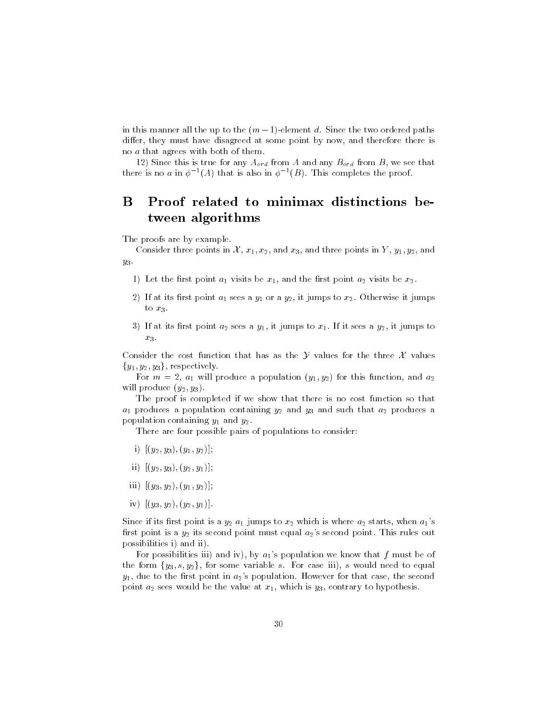in this manner all the up to the  $(m-1)$ -element d. Since the two ordered paths differ, they must have disagreed at some point by now, and therefore there is no a that agrees with both of them

12) Since this is true for any  $A_{ord}$  from A and any  $B_{ord}$  from B, we see that there is no a in  $\phi^{-1}(A)$  that is also in  $\phi^{-1}(B)$ . This completes the proof,

### B B Proof related to minimax distinctions be tween algorithms

The proofs are by example

Consider three points in  $\mathcal{X}, x_1, x_2$ , and  $x_3$ , and three points in Y,  $y_1, y_2$ , and  $y_3$ .

- Let the rst point a visit be x and the rst point a visit be  $\mu$  and the rst point a visit be  $\mu$
- If at its rst point a sees a y or a y it jumps to x Otherwise it jumps to  $x_3$ .
- $I$  and a set  $I$  it sees a set and it is it sees a set and it sees a year of it sees a year of  $I$  $x_3$ .

Consider the cost function that has as the  $Y$  values for the three  $X$  values  ${y_1, y_2, y_3}$ , respectively.

For m  $\mathbf{r}_1$  will produce a population  $\mathbf{y}_1$   $\mathbf{y}_2$  and and and and  $\mathbf{r}_2$ will produce  $(y_2, y_3)$ .

The proof is completed if we show that there is no cost function so that a produces a population containing  $y_A$  and  $y_B$  and such that  $\alpha_A$  produces a population containing  $y_1$  and  $y_2$  and  $y_3$ 

There are four possible pairs of populations to consider:

- i y y y y
- ii y y y y
- $\blacksquare$  iiii  $\blacksquare$
- iv y y y y

Since it its rate if its rate is a  $y_A$  and  $y_B$  measure as  $\omega$  which is whose  $\omega$  as the starts when a starts when rst point is a  $y_A$  its second point must equal a point  $\pi_A$  where  $r$  rules out this rule. possibilities i) and ii).

For possibilities iii) and iv), by  $a_1$ 's population we know that f must be of the form  $\{y_3, s, y_2\}$ , for some variable s. For case iii), s would need to equal  $y_1$ , due to the first point in  $a_2$ 's population. However for that case, the second point a sees would be the value at  $\mathcal{W}(\mathcal{V})$  which is y contrary to hypothesis y contrary to hypothesis y contrary to hypothesis y contrary to hypothesis y contrary to hypothesis y contrary to hypothesis y contrary t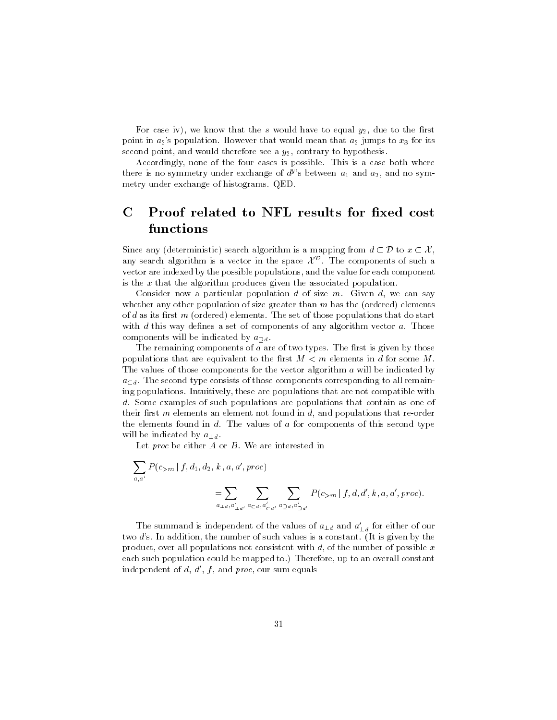For case iv), we know that the s would have to equal  $y_2$ , due to the first point in agreement in a jumps to a state when the mean that we have a jumps to x for its its second point, and would therefore see a  $y_2$ , contrary to hypothesis.

Accordingly, none of the four cases is possible. This is a case both where there is no symmetry under exchange of  $a<sup>s</sup>$  s between  $a<sub>1</sub>$  and  $a<sub>2</sub>$ , and no symmetry under exchange of histograms QED

# $\mathbf C$ functions

Since any (deterministic) search algorithm is a mapping from  $d \subset \mathcal{D}$  to  $x \subset \mathcal{X}$ , any search algorithm is a vector in the space  $\mathcal{X}^{\mathcal{D}}$ . The components of such a vector are indexed by the possible populations, and the value for each component is the  $x$  that the algorithm produces given the associated population.

Consider now a particular population  $d$  of size  $m$ . Given  $d$ , we can say whether any other population of size greater than  $m$  has the (ordered) elements of  $d$  as its first  $m$  (ordered) elements. The set of those populations that do start with  $d$  this way defines a set of components of any algorithm vector  $a$ . Those components will be indicated by  $a_{\text{d}}$ .

The remaining components of  $a$  are of two types. The first is given by those populations that are equivalent to the first  $M < m$  elements in d for some M. The values of those components for the vector algorithm a will be indicated by  $a_{\text{d}}$ . The second type consists of those components corresponding to all remaining populations. Intuitively, these are populations that are not compatible with d. Some examples of such populations are populations that contain as one of their first  $m$  elements an element not found in  $d$ , and populations that re-order the elements found in  $d$ . The values of  $a$  for components of this second type will be indicated by a strongly at  $\pm a$ 

Let proc be either  $A$  or  $B$ . We are interested in

$$
\sum_{a,a'} P(c_{>m} | f, d_1, d_2, k, a, a', proc)
$$
  
= 
$$
\sum_{a_{\perp d, a'_{\perp d'}}} \sum_{a_{\leq d, a'_{\leq d'}}} \sum_{a_{\geq d, a'_{\geq d'}}} P(c_{>m} | f, d, d', k, a, a', proc).
$$

The summand is independent of the values of  $a_{\perp d}$  and  $a_{\perp d}$  for either of our two d's. In addition, the number of such values is a constant. (It is given by the product, over all populations not consistent with  $d$ , of the number of possible x each such population could be mapped to.) Therefore, up to an overall constant independent of  $d, d', f$ , and proc, our sum equals